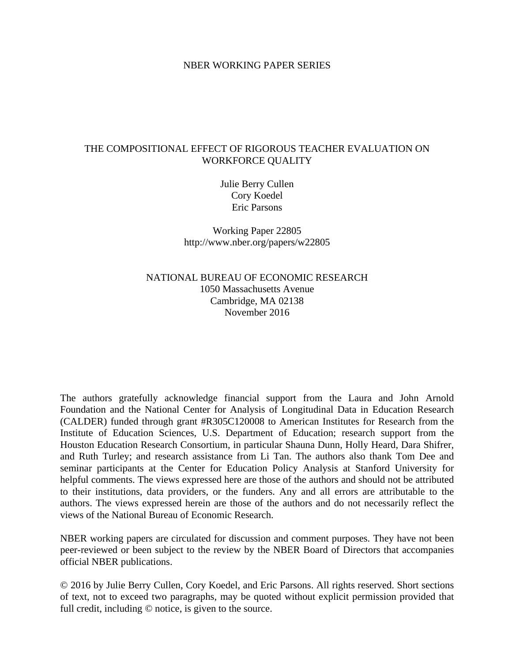### NBER WORKING PAPER SERIES

# THE COMPOSITIONAL EFFECT OF RIGOROUS TEACHER EVALUATION ON WORKFORCE QUALITY

Julie Berry Cullen Cory Koedel Eric Parsons

Working Paper 22805 http://www.nber.org/papers/w22805

NATIONAL BUREAU OF ECONOMIC RESEARCH 1050 Massachusetts Avenue Cambridge, MA 02138 November 2016

The authors gratefully acknowledge financial support from the Laura and John Arnold Foundation and the National Center for Analysis of Longitudinal Data in Education Research (CALDER) funded through grant #R305C120008 to American Institutes for Research from the Institute of Education Sciences, U.S. Department of Education; research support from the Houston Education Research Consortium, in particular Shauna Dunn, Holly Heard, Dara Shifrer, and Ruth Turley; and research assistance from Li Tan. The authors also thank Tom Dee and seminar participants at the Center for Education Policy Analysis at Stanford University for helpful comments. The views expressed here are those of the authors and should not be attributed to their institutions, data providers, or the funders. Any and all errors are attributable to the authors. The views expressed herein are those of the authors and do not necessarily reflect the views of the National Bureau of Economic Research.

NBER working papers are circulated for discussion and comment purposes. They have not been peer-reviewed or been subject to the review by the NBER Board of Directors that accompanies official NBER publications.

© 2016 by Julie Berry Cullen, Cory Koedel, and Eric Parsons. All rights reserved. Short sections of text, not to exceed two paragraphs, may be quoted without explicit permission provided that full credit, including  $\odot$  notice, is given to the source.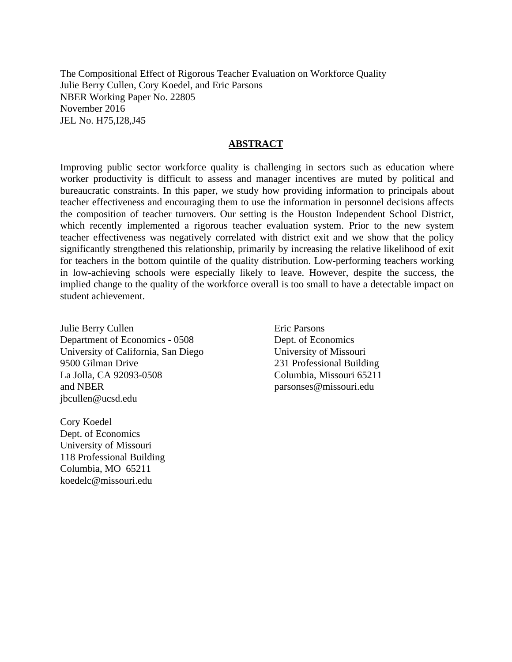The Compositional Effect of Rigorous Teacher Evaluation on Workforce Quality Julie Berry Cullen, Cory Koedel, and Eric Parsons NBER Working Paper No. 22805 November 2016 JEL No. H75,I28,J45

# **ABSTRACT**

Improving public sector workforce quality is challenging in sectors such as education where worker productivity is difficult to assess and manager incentives are muted by political and bureaucratic constraints. In this paper, we study how providing information to principals about teacher effectiveness and encouraging them to use the information in personnel decisions affects the composition of teacher turnovers. Our setting is the Houston Independent School District, which recently implemented a rigorous teacher evaluation system. Prior to the new system teacher effectiveness was negatively correlated with district exit and we show that the policy significantly strengthened this relationship, primarily by increasing the relative likelihood of exit for teachers in the bottom quintile of the quality distribution. Low-performing teachers working in low-achieving schools were especially likely to leave. However, despite the success, the implied change to the quality of the workforce overall is too small to have a detectable impact on student achievement.

Julie Berry Cullen Department of Economics - 0508 University of California, San Diego 9500 Gilman Drive La Jolla, CA 92093-0508 and NBER jbcullen@ucsd.edu

Cory Koedel Dept. of Economics University of Missouri 118 Professional Building Columbia, MO 65211 koedelc@missouri.edu

Eric Parsons Dept. of Economics University of Missouri 231 Professional Building Columbia, Missouri 65211 parsonses@missouri.edu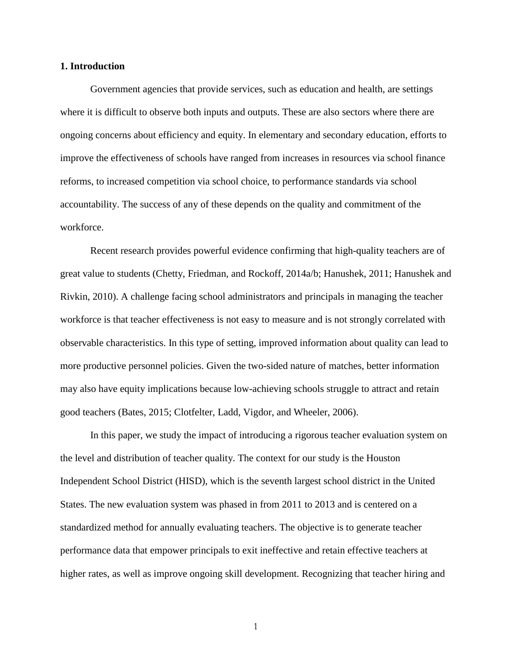#### **1. Introduction**

Government agencies that provide services, such as education and health, are settings where it is difficult to observe both inputs and outputs. These are also sectors where there are ongoing concerns about efficiency and equity. In elementary and secondary education, efforts to improve the effectiveness of schools have ranged from increases in resources via school finance reforms, to increased competition via school choice, to performance standards via school accountability. The success of any of these depends on the quality and commitment of the workforce.

Recent research provides powerful evidence confirming that high-quality teachers are of great value to students (Chetty, Friedman, and Rockoff, 2014a/b; Hanushek, 2011; Hanushek and Rivkin, 2010). A challenge facing school administrators and principals in managing the teacher workforce is that teacher effectiveness is not easy to measure and is not strongly correlated with observable characteristics. In this type of setting, improved information about quality can lead to more productive personnel policies. Given the two-sided nature of matches, better information may also have equity implications because low-achieving schools struggle to attract and retain good teachers (Bates, 2015; Clotfelter, Ladd, Vigdor, and Wheeler, 2006).

In this paper, we study the impact of introducing a rigorous teacher evaluation system on the level and distribution of teacher quality. The context for our study is the Houston Independent School District (HISD), which is the seventh largest school district in the United States. The new evaluation system was phased in from 2011 to 2013 and is centered on a standardized method for annually evaluating teachers. The objective is to generate teacher performance data that empower principals to exit ineffective and retain effective teachers at higher rates, as well as improve ongoing skill development. Recognizing that teacher hiring and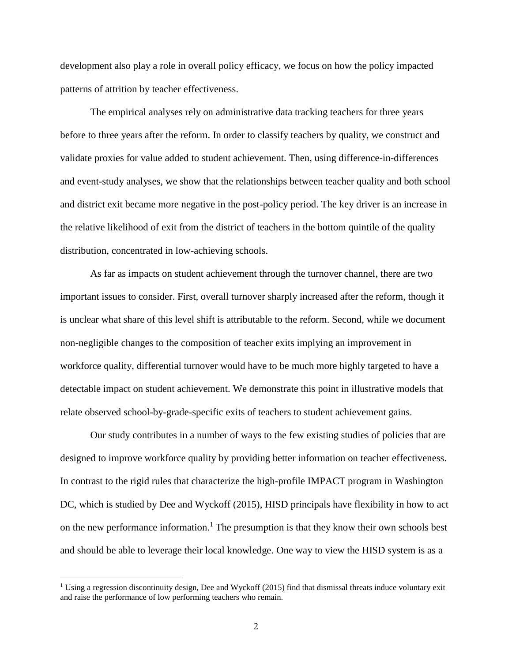development also play a role in overall policy efficacy, we focus on how the policy impacted patterns of attrition by teacher effectiveness.

The empirical analyses rely on administrative data tracking teachers for three years before to three years after the reform. In order to classify teachers by quality, we construct and validate proxies for value added to student achievement. Then, using difference-in-differences and event-study analyses, we show that the relationships between teacher quality and both school and district exit became more negative in the post-policy period. The key driver is an increase in the relative likelihood of exit from the district of teachers in the bottom quintile of the quality distribution, concentrated in low-achieving schools.

As far as impacts on student achievement through the turnover channel, there are two important issues to consider. First, overall turnover sharply increased after the reform, though it is unclear what share of this level shift is attributable to the reform. Second, while we document non-negligible changes to the composition of teacher exits implying an improvement in workforce quality, differential turnover would have to be much more highly targeted to have a detectable impact on student achievement. We demonstrate this point in illustrative models that relate observed school-by-grade-specific exits of teachers to student achievement gains.

Our study contributes in a number of ways to the few existing studies of policies that are designed to improve workforce quality by providing better information on teacher effectiveness. In contrast to the rigid rules that characterize the high-profile IMPACT program in Washington DC, which is studied by Dee and Wyckoff (2015), HISD principals have flexibility in how to act on the new performance information.<sup>1</sup> The presumption is that they know their own schools best and should be able to leverage their local knowledge. One way to view the HISD system is as a

<sup>&</sup>lt;sup>1</sup> Using a regression discontinuity design, Dee and Wyckoff (2015) find that dismissal threats induce voluntary exit and raise the performance of low performing teachers who remain.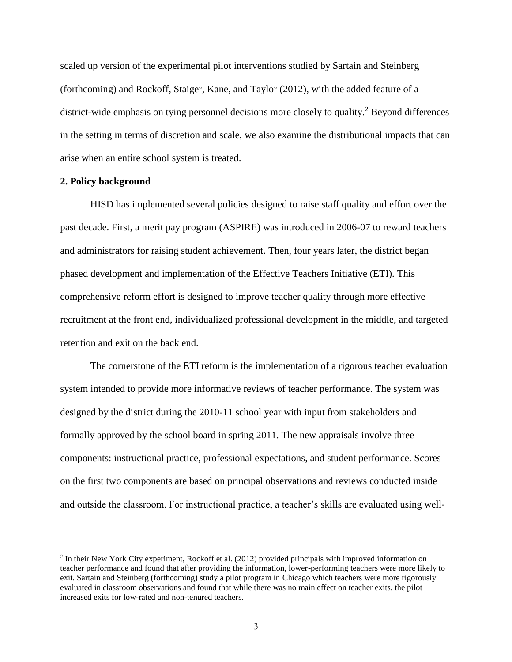scaled up version of the experimental pilot interventions studied by Sartain and Steinberg (forthcoming) and Rockoff, Staiger, Kane, and Taylor (2012), with the added feature of a district-wide emphasis on tying personnel decisions more closely to quality.<sup>2</sup> Beyond differences in the setting in terms of discretion and scale, we also examine the distributional impacts that can arise when an entire school system is treated.

## **2. Policy background**

 $\overline{a}$ 

HISD has implemented several policies designed to raise staff quality and effort over the past decade. First, a merit pay program (ASPIRE) was introduced in 2006-07 to reward teachers and administrators for raising student achievement. Then, four years later, the district began phased development and implementation of the Effective Teachers Initiative (ETI). This comprehensive reform effort is designed to improve teacher quality through more effective recruitment at the front end, individualized professional development in the middle, and targeted retention and exit on the back end.

The cornerstone of the ETI reform is the implementation of a rigorous teacher evaluation system intended to provide more informative reviews of teacher performance. The system was designed by the district during the 2010-11 school year with input from stakeholders and formally approved by the school board in spring 2011. The new appraisals involve three components: instructional practice, professional expectations, and student performance. Scores on the first two components are based on principal observations and reviews conducted inside and outside the classroom. For instructional practice, a teacher's skills are evaluated using well-

<sup>&</sup>lt;sup>2</sup> In their New York City experiment, Rockoff et al. (2012) provided principals with improved information on teacher performance and found that after providing the information, lower-performing teachers were more likely to exit. Sartain and Steinberg (forthcoming) study a pilot program in Chicago which teachers were more rigorously evaluated in classroom observations and found that while there was no main effect on teacher exits, the pilot increased exits for low-rated and non-tenured teachers.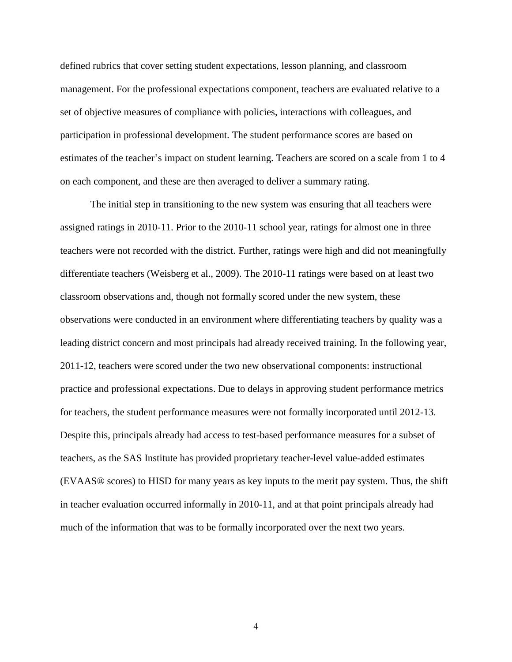defined rubrics that cover setting student expectations, lesson planning, and classroom management. For the professional expectations component, teachers are evaluated relative to a set of objective measures of compliance with policies, interactions with colleagues, and participation in professional development. The student performance scores are based on estimates of the teacher's impact on student learning. Teachers are scored on a scale from 1 to 4 on each component, and these are then averaged to deliver a summary rating.

The initial step in transitioning to the new system was ensuring that all teachers were assigned ratings in 2010-11. Prior to the 2010-11 school year, ratings for almost one in three teachers were not recorded with the district. Further, ratings were high and did not meaningfully differentiate teachers (Weisberg et al., 2009). The 2010-11 ratings were based on at least two classroom observations and, though not formally scored under the new system, these observations were conducted in an environment where differentiating teachers by quality was a leading district concern and most principals had already received training. In the following year, 2011-12, teachers were scored under the two new observational components: instructional practice and professional expectations. Due to delays in approving student performance metrics for teachers, the student performance measures were not formally incorporated until 2012-13. Despite this, principals already had access to test-based performance measures for a subset of teachers, as the SAS Institute has provided proprietary teacher-level value-added estimates (EVAAS® scores) to HISD for many years as key inputs to the merit pay system. Thus, the shift in teacher evaluation occurred informally in 2010-11, and at that point principals already had much of the information that was to be formally incorporated over the next two years.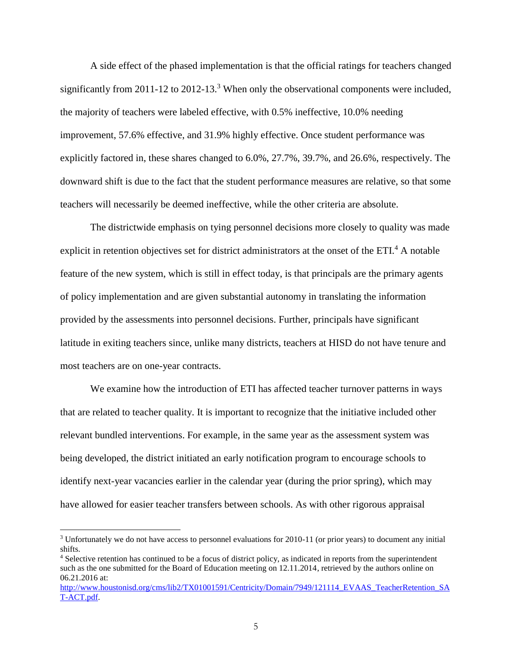A side effect of the phased implementation is that the official ratings for teachers changed significantly from 2011-12 to 2012-13.<sup>3</sup> When only the observational components were included, the majority of teachers were labeled effective, with 0.5% ineffective, 10.0% needing improvement, 57.6% effective, and 31.9% highly effective. Once student performance was explicitly factored in, these shares changed to 6.0%, 27.7%, 39.7%, and 26.6%, respectively. The downward shift is due to the fact that the student performance measures are relative, so that some teachers will necessarily be deemed ineffective, while the other criteria are absolute.

The districtwide emphasis on tying personnel decisions more closely to quality was made explicit in retention objectives set for district administrators at the onset of the ETI.<sup>4</sup> A notable feature of the new system, which is still in effect today, is that principals are the primary agents of policy implementation and are given substantial autonomy in translating the information provided by the assessments into personnel decisions. Further, principals have significant latitude in exiting teachers since, unlike many districts, teachers at HISD do not have tenure and most teachers are on one-year contracts.

We examine how the introduction of ETI has affected teacher turnover patterns in ways that are related to teacher quality. It is important to recognize that the initiative included other relevant bundled interventions. For example, in the same year as the assessment system was being developed, the district initiated an early notification program to encourage schools to identify next-year vacancies earlier in the calendar year (during the prior spring), which may have allowed for easier teacher transfers between schools. As with other rigorous appraisal

<sup>3</sup> Unfortunately we do not have access to personnel evaluations for 2010-11 (or prior years) to document any initial shifts.

<sup>4</sup> Selective retention has continued to be a focus of district policy, as indicated in reports from the superintendent such as the one submitted for the Board of Education meeting on 12.11.2014, retrieved by the authors online on 06.21.2016 at:

[http://www.houstonisd.org/cms/lib2/TX01001591/Centricity/Domain/7949/121114\\_EVAAS\\_TeacherRetention\\_SA](http://www.houstonisd.org/cms/lib2/TX01001591/Centricity/Domain/7949/121114_EVAAS_TeacherRetention_SAT-ACT.pdf) [T-ACT.pdf.](http://www.houstonisd.org/cms/lib2/TX01001591/Centricity/Domain/7949/121114_EVAAS_TeacherRetention_SAT-ACT.pdf)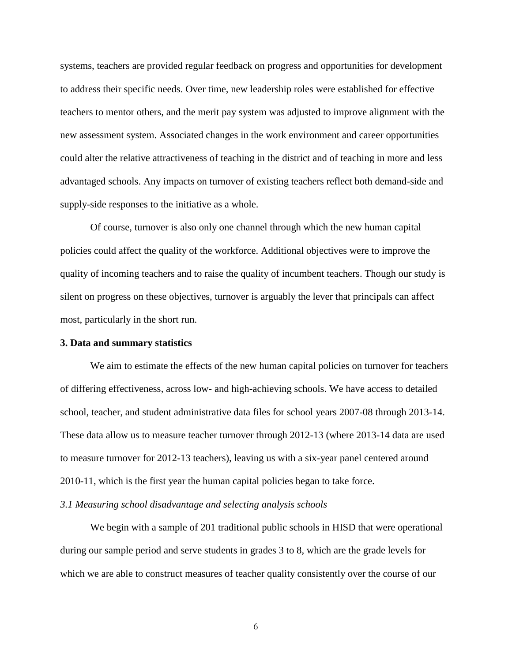systems, teachers are provided regular feedback on progress and opportunities for development to address their specific needs. Over time, new leadership roles were established for effective teachers to mentor others, and the merit pay system was adjusted to improve alignment with the new assessment system. Associated changes in the work environment and career opportunities could alter the relative attractiveness of teaching in the district and of teaching in more and less advantaged schools. Any impacts on turnover of existing teachers reflect both demand-side and supply-side responses to the initiative as a whole.

Of course, turnover is also only one channel through which the new human capital policies could affect the quality of the workforce. Additional objectives were to improve the quality of incoming teachers and to raise the quality of incumbent teachers. Though our study is silent on progress on these objectives, turnover is arguably the lever that principals can affect most, particularly in the short run.

## **3. Data and summary statistics**

We aim to estimate the effects of the new human capital policies on turnover for teachers of differing effectiveness, across low- and high-achieving schools. We have access to detailed school, teacher, and student administrative data files for school years 2007-08 through 2013-14. These data allow us to measure teacher turnover through 2012-13 (where 2013-14 data are used to measure turnover for 2012-13 teachers), leaving us with a six-year panel centered around 2010-11, which is the first year the human capital policies began to take force.

#### *3.1 Measuring school disadvantage and selecting analysis schools*

We begin with a sample of 201 traditional public schools in HISD that were operational during our sample period and serve students in grades 3 to 8, which are the grade levels for which we are able to construct measures of teacher quality consistently over the course of our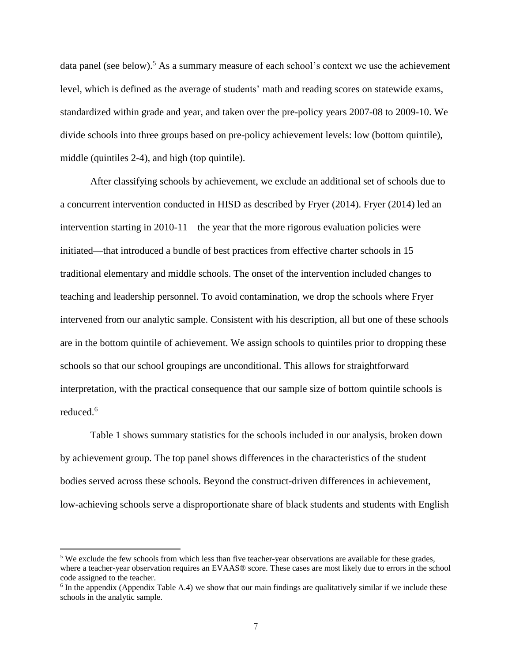data panel (see below).<sup>5</sup> As a summary measure of each school's context we use the achievement level, which is defined as the average of students' math and reading scores on statewide exams, standardized within grade and year, and taken over the pre-policy years 2007-08 to 2009-10. We divide schools into three groups based on pre-policy achievement levels: low (bottom quintile), middle (quintiles 2-4), and high (top quintile).

After classifying schools by achievement, we exclude an additional set of schools due to a concurrent intervention conducted in HISD as described by Fryer (2014). Fryer (2014) led an intervention starting in 2010-11—the year that the more rigorous evaluation policies were initiated—that introduced a bundle of best practices from effective charter schools in 15 traditional elementary and middle schools. The onset of the intervention included changes to teaching and leadership personnel. To avoid contamination, we drop the schools where Fryer intervened from our analytic sample. Consistent with his description, all but one of these schools are in the bottom quintile of achievement. We assign schools to quintiles prior to dropping these schools so that our school groupings are unconditional. This allows for straightforward interpretation, with the practical consequence that our sample size of bottom quintile schools is reduced. 6

Table 1 shows summary statistics for the schools included in our analysis, broken down by achievement group. The top panel shows differences in the characteristics of the student bodies served across these schools. Beyond the construct-driven differences in achievement, low-achieving schools serve a disproportionate share of black students and students with English

<sup>&</sup>lt;sup>5</sup> We exclude the few schools from which less than five teacher-year observations are available for these grades, where a teacher-year observation requires an EVAAS® score. These cases are most likely due to errors in the school code assigned to the teacher.

<sup>&</sup>lt;sup>6</sup> In the appendix (Appendix Table A.4) we show that our main findings are qualitatively similar if we include these schools in the analytic sample.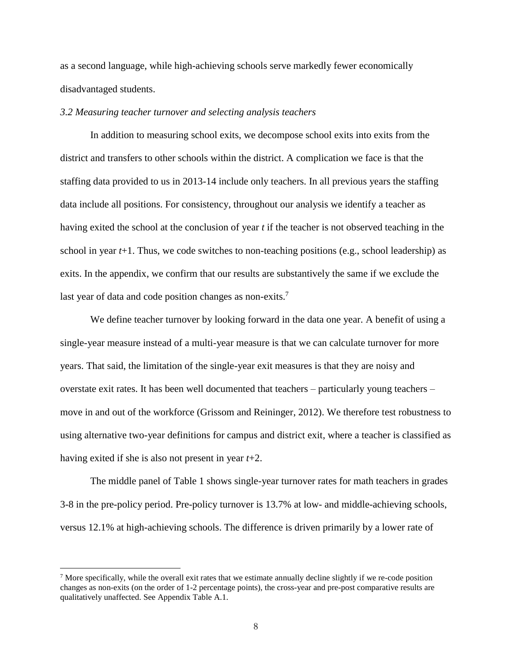as a second language, while high-achieving schools serve markedly fewer economically disadvantaged students.

#### *3.2 Measuring teacher turnover and selecting analysis teachers*

In addition to measuring school exits, we decompose school exits into exits from the district and transfers to other schools within the district. A complication we face is that the staffing data provided to us in 2013-14 include only teachers. In all previous years the staffing data include all positions. For consistency, throughout our analysis we identify a teacher as having exited the school at the conclusion of year *t* if the teacher is not observed teaching in the school in year  $t+1$ . Thus, we code switches to non-teaching positions (e.g., school leadership) as exits. In the appendix, we confirm that our results are substantively the same if we exclude the last year of data and code position changes as non-exits.<sup>7</sup>

We define teacher turnover by looking forward in the data one year. A benefit of using a single-year measure instead of a multi-year measure is that we can calculate turnover for more years. That said, the limitation of the single-year exit measures is that they are noisy and overstate exit rates. It has been well documented that teachers – particularly young teachers – move in and out of the workforce (Grissom and Reininger, 2012). We therefore test robustness to using alternative two-year definitions for campus and district exit, where a teacher is classified as having exited if she is also not present in year *t*+2.

The middle panel of Table 1 shows single-year turnover rates for math teachers in grades 3-8 in the pre-policy period. Pre-policy turnover is 13.7% at low- and middle-achieving schools, versus 12.1% at high-achieving schools. The difference is driven primarily by a lower rate of

<sup>7</sup> More specifically, while the overall exit rates that we estimate annually decline slightly if we re-code position changes as non-exits (on the order of 1-2 percentage points), the cross-year and pre-post comparative results are qualitatively unaffected. See Appendix Table A.1.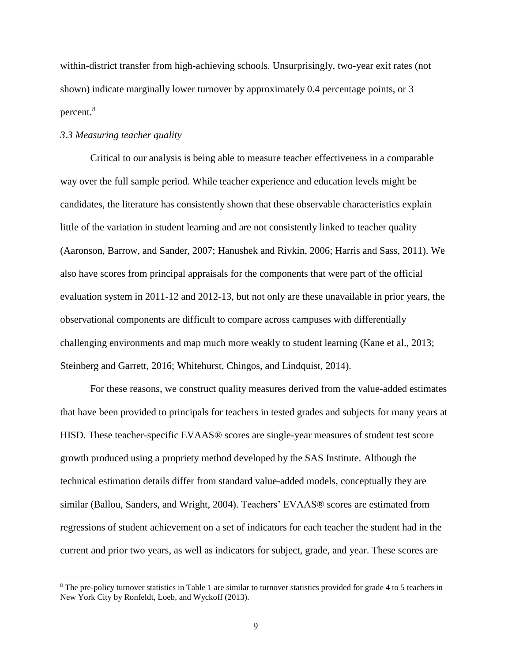within-district transfer from high-achieving schools. Unsurprisingly, two-year exit rates (not shown) indicate marginally lower turnover by approximately 0.4 percentage points, or 3 percent.<sup>8</sup>

## *3.3 Measuring teacher quality*

 $\overline{a}$ 

Critical to our analysis is being able to measure teacher effectiveness in a comparable way over the full sample period. While teacher experience and education levels might be candidates, the literature has consistently shown that these observable characteristics explain little of the variation in student learning and are not consistently linked to teacher quality (Aaronson, Barrow, and Sander, 2007; Hanushek and Rivkin, 2006; Harris and Sass, 2011). We also have scores from principal appraisals for the components that were part of the official evaluation system in 2011-12 and 2012-13, but not only are these unavailable in prior years, the observational components are difficult to compare across campuses with differentially challenging environments and map much more weakly to student learning (Kane et al., 2013; Steinberg and Garrett, 2016; Whitehurst, Chingos, and Lindquist, 2014).

For these reasons, we construct quality measures derived from the value-added estimates that have been provided to principals for teachers in tested grades and subjects for many years at HISD. These teacher-specific EVAAS® scores are single-year measures of student test score growth produced using a propriety method developed by the SAS Institute. Although the technical estimation details differ from standard value-added models, conceptually they are similar (Ballou, Sanders, and Wright, 2004). Teachers' EVAAS® scores are estimated from regressions of student achievement on a set of indicators for each teacher the student had in the current and prior two years, as well as indicators for subject, grade, and year. These scores are

<sup>8</sup> The pre-policy turnover statistics in Table 1 are similar to turnover statistics provided for grade 4 to 5 teachers in New York City by Ronfeldt, Loeb, and Wyckoff (2013).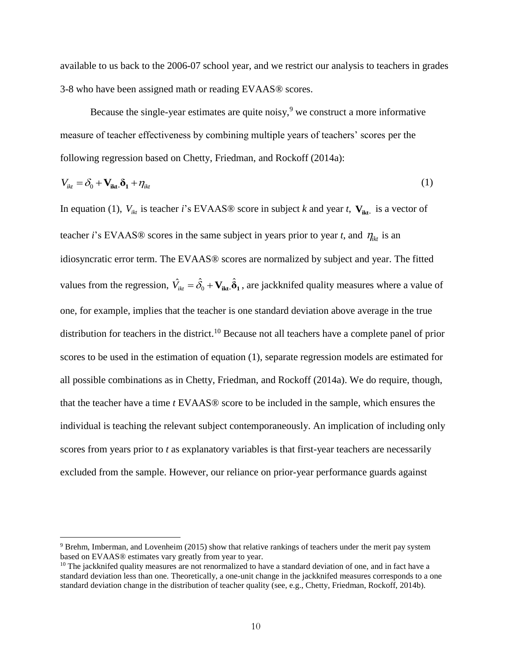available to us back to the 2006-07 school year, and we restrict our analysis to teachers in grades 3-8 who have been assigned math or reading EVAAS® scores.

Because the single-year estimates are quite noisy,  $9$  we construct a more informative measure of teacher effectiveness by combining multiple years of teachers' scores per the following regression based on Chetty, Friedman, and Rockoff (2014a):

$$
V_{ikt} = \delta_0 + \mathbf{V}_{ikt} \cdot \mathbf{\delta}_1 + \eta_{ikt}
$$
 (1)

In equation (1),  $V_{ikt}$  is teacher *i*'s EVAAS® score in subject *k* and year *t*,  $V_{ikt}$  is a vector of teacher *i*'s EVAAS® scores in the same subject in years prior to year *t*, and  $\eta_{ik}$  is an values from the regression,  $\hat{V}_{ikt} = \hat{\delta}_0 + V_{ikt} \cdot \hat{\delta}_1$ , are jackknifed quality measures where a value of idiosyncratic error term. The EVAAS® scores are normalized by subject and year. The fitted one, for example, implies that the teacher is one standard deviation above average in the true distribution for teachers in the district.<sup>10</sup> Because not all teachers have a complete panel of prior scores to be used in the estimation of equation (1), separate regression models are estimated for all possible combinations as in Chetty, Friedman, and Rockoff (2014a). We do require, though, that the teacher have a time *t* EVAAS® score to be included in the sample, which ensures the individual is teaching the relevant subject contemporaneously. An implication of including only scores from years prior to *t* as explanatory variables is that first-year teachers are necessarily excluded from the sample. However, our reliance on prior-year performance guards against

<sup>9</sup> Brehm, Imberman, and Lovenheim (2015) show that relative rankings of teachers under the merit pay system based on EVAAS® estimates vary greatly from year to year.

 $10$  The jackknifed quality measures are not renormalized to have a standard deviation of one, and in fact have a standard deviation less than one. Theoretically, a one-unit change in the jackknifed measures corresponds to a one standard deviation change in the distribution of teacher quality (see, e.g., Chetty, Friedman, Rockoff, 2014b).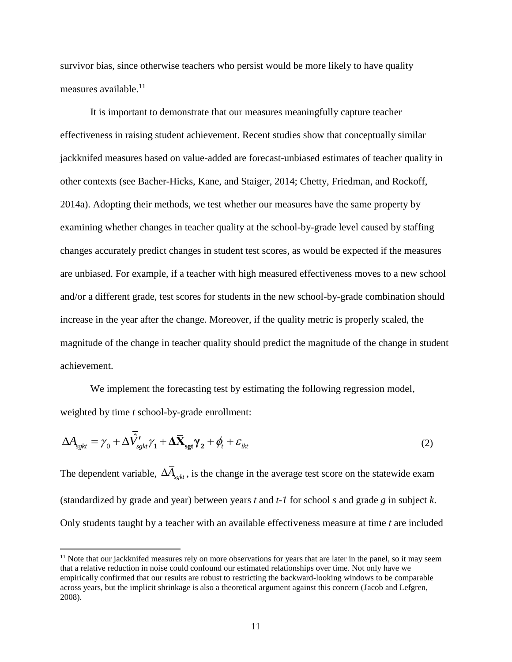survivor bias, since otherwise teachers who persist would be more likely to have quality measures available. $11$ 

It is important to demonstrate that our measures meaningfully capture teacher effectiveness in raising student achievement. Recent studies show that conceptually similar jackknifed measures based on value-added are forecast-unbiased estimates of teacher quality in other contexts (see Bacher-Hicks, Kane, and Staiger, 2014; Chetty, Friedman, and Rockoff, 2014a). Adopting their methods, we test whether our measures have the same property by examining whether changes in teacher quality at the school-by-grade level caused by staffing changes accurately predict changes in student test scores, as would be expected if the measures are unbiased. For example, if a teacher with high measured effectiveness moves to a new school and/or a different grade, test scores for students in the new school-by-grade combination should increase in the year after the change. Moreover, if the quality metric is properly scaled, the magnitude of the change in teacher quality should predict the magnitude of the change in student achievement.

We implement the forecasting test by estimating the following regression model, weighted by time *t* school-by-grade enrollment:

$$
\Delta \overline{A}_{sgkt} = \gamma_0 + \Delta \overline{\hat{V}}_{sgkt} \gamma_1 + \Delta \overline{X}_{sgt} \gamma_2 + \phi_t + \varepsilon_{ikt}
$$
\n(2)

The dependent variable,  $\Delta A_{sgkt}$ , is the change in the average test score on the statewide exam (standardized by grade and year) between years *t* and *t-1* for school *s* and grade *g* in subject *k*. Only students taught by a teacher with an available effectiveness measure at time *t* are included

 $11$  Note that our jackknifed measures rely on more observations for years that are later in the panel, so it may seem that a relative reduction in noise could confound our estimated relationships over time. Not only have we empirically confirmed that our results are robust to restricting the backward-looking windows to be comparable across years, but the implicit shrinkage is also a theoretical argument against this concern (Jacob and Lefgren, 2008).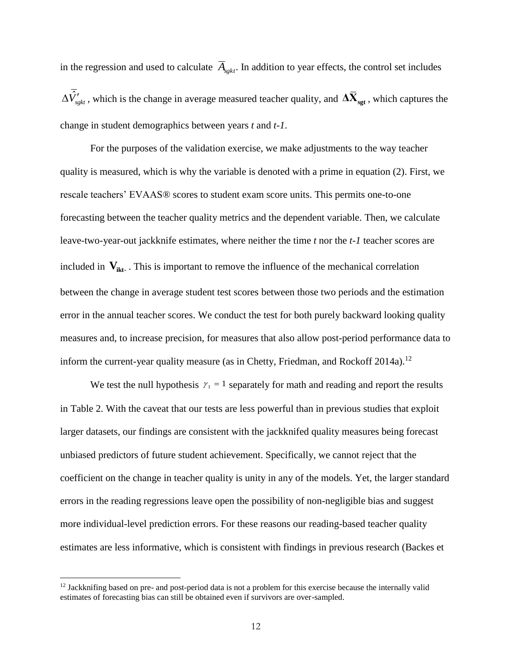in the regression and used to calculate  $\overline{A}_{sgkt}$ . In addition to year effects, the control set includes  $\Delta \hat{V}_{sgkt}$  , which is the change in average measured teacher quality, and  $\Delta \overline{\bf{X}}_{sgt}$  , which captures the change in student demographics between years *t* and *t-1*.

For the purposes of the validation exercise, we make adjustments to the way teacher quality is measured, which is why the variable is denoted with a prime in equation (2). First, we rescale teachers' EVAAS® scores to student exam score units. This permits one-to-one forecasting between the teacher quality metrics and the dependent variable. Then, we calculate leave-two-year-out jackknife estimates, where neither the time *t* nor the *t-1* teacher scores are included in  $V_{ikt}$ . This is important to remove the influence of the mechanical correlation between the change in average student test scores between those two periods and the estimation error in the annual teacher scores. We conduct the test for both purely backward looking quality measures and, to increase precision, for measures that also allow post-period performance data to inform the current-year quality measure (as in Chetty, Friedman, and Rockoff 2014a).<sup>12</sup>

We test the null hypothesis  $\gamma_1 = 1$  separately for math and reading and report the results in Table 2. With the caveat that our tests are less powerful than in previous studies that exploit larger datasets, our findings are consistent with the jackknifed quality measures being forecast unbiased predictors of future student achievement. Specifically, we cannot reject that the coefficient on the change in teacher quality is unity in any of the models. Yet, the larger standard errors in the reading regressions leave open the possibility of non-negligible bias and suggest more individual-level prediction errors. For these reasons our reading-based teacher quality estimates are less informative, which is consistent with findings in previous research (Backes et

 $12$  Jackknifing based on pre- and post-period data is not a problem for this exercise because the internally valid estimates of forecasting bias can still be obtained even if survivors are over-sampled.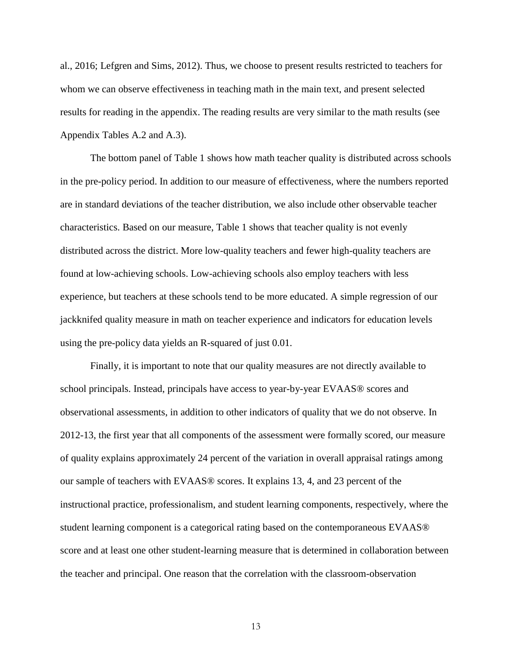al., 2016; Lefgren and Sims, 2012). Thus, we choose to present results restricted to teachers for whom we can observe effectiveness in teaching math in the main text, and present selected results for reading in the appendix. The reading results are very similar to the math results (see Appendix Tables A.2 and A.3).

The bottom panel of Table 1 shows how math teacher quality is distributed across schools in the pre-policy period. In addition to our measure of effectiveness, where the numbers reported are in standard deviations of the teacher distribution, we also include other observable teacher characteristics. Based on our measure, Table 1 shows that teacher quality is not evenly distributed across the district. More low-quality teachers and fewer high-quality teachers are found at low-achieving schools. Low-achieving schools also employ teachers with less experience, but teachers at these schools tend to be more educated. A simple regression of our jackknifed quality measure in math on teacher experience and indicators for education levels using the pre-policy data yields an R-squared of just 0.01.

Finally, it is important to note that our quality measures are not directly available to school principals. Instead, principals have access to year-by-year EVAAS® scores and observational assessments, in addition to other indicators of quality that we do not observe. In 2012-13, the first year that all components of the assessment were formally scored, our measure of quality explains approximately 24 percent of the variation in overall appraisal ratings among our sample of teachers with EVAAS® scores. It explains 13, 4, and 23 percent of the instructional practice, professionalism, and student learning components, respectively, where the student learning component is a categorical rating based on the contemporaneous EVAAS® score and at least one other student-learning measure that is determined in collaboration between the teacher and principal. One reason that the correlation with the classroom-observation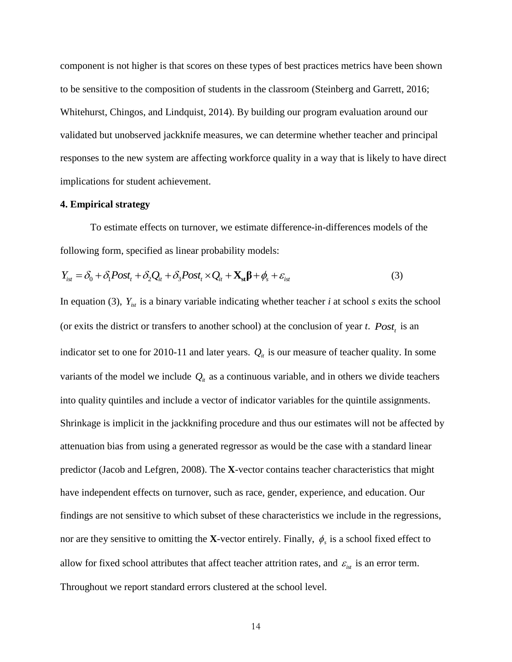component is not higher is that scores on these types of best practices metrics have been shown to be sensitive to the composition of students in the classroom (Steinberg and Garrett, 2016; Whitehurst, Chingos, and Lindquist, 2014). By building our program evaluation around our validated but unobserved jackknife measures, we can determine whether teacher and principal responses to the new system are affecting workforce quality in a way that is likely to have direct implications for student achievement.

#### **4. Empirical strategy**

To estimate effects on turnover, we estimate difference-in-differences models of the following form, specified as linear probability models:<br>  $Y_{ist} = \delta_0 + \delta_1 Post_t + \delta_2 Q_{it} + \delta_3 Post_t \times Q_{it} + \mathbf{X}_{st} \mathbf{\beta} + \phi_s + \varepsilon_{ist}$ 

$$
Y_{ist} = \delta_0 + \delta_1 Post_t + \delta_2 Q_{it} + \delta_3 Post_t \times Q_{it} + \mathbf{X}_{st} \mathbf{\beta} + \phi_s + \varepsilon_{ist}
$$
(3)

In equation (3),  $Y_{\text{int}}$  is a binary variable indicating whether teacher *i* at school *s* exits the school  $\mathbf{r}$ (or exits the district or transfers to another school) at the conclusion of year *t*. *Post<sup>t</sup>* is an indicator set to one for 2010-11 and later years.  $Q_i$  is our measure of teacher quality. In some into quality quintiles and include a vector of indicator variables for the quintile assignments. variants of the model we include  $Q_i$  as a continuous variable, and in others we divide teachers Shrinkage is implicit in the jackknifing procedure and thus our estimates will not be affected by attenuation bias from using a generated regressor as would be the case with a standard linear predictor (Jacob and Lefgren, 2008). The **X**-vector contains teacher characteristics that might have independent effects on turnover, such as race, gender, experience, and education. Our findings are not sensitive to which subset of these characteristics we include in the regressions, nor are they sensitive to omitting the **X**-vector entirely. Finally,  $\phi_s$  is a school fixed effect to Throughout we report standard errors clustered at the school level.allow for fixed school attributes that affect teacher attrition rates, and  $\varepsilon_{\rm{ist}}$  is an error term.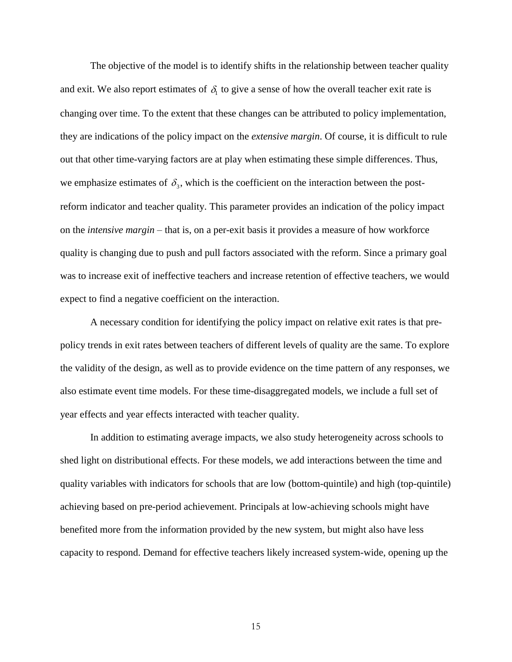The objective of the model is to identify shifts in the relationship between teacher quality and exit. We also report estimates of  $\delta_i$  to give a sense of how the overall teacher exit rate is they are indications of the policy impact on the *extensive margin*. Of course, it is difficult to rule changing over time. To the extent that these changes can be attributed to policy implementation, out that other time-varying factors are at play when estimating these simple differences. Thus, we emphasize estimates of  $\delta_3$ , which is the coefficient on the interaction between the post on the *intensive margin* – that is, on a per-exit basis it provides a measure of how workforce reform indicator and teacher quality. This parameter provides an indication of the policy impact quality is changing due to push and pull factors associated with the reform. Since a primary goal was to increase exit of ineffective teachers and increase retention of effective teachers, we would expect to find a negative coefficient on the interaction.

A necessary condition for identifying the policy impact on relative exit rates is that prepolicy trends in exit rates between teachers of different levels of quality are the same. To explore the validity of the design, as well as to provide evidence on the time pattern of any responses, we also estimate event time models. For these time-disaggregated models, we include a full set of year effects and year effects interacted with teacher quality.

In addition to estimating average impacts, we also study heterogeneity across schools to shed light on distributional effects. For these models, we add interactions between the time and quality variables with indicators for schools that are low (bottom-quintile) and high (top-quintile) achieving based on pre-period achievement. Principals at low-achieving schools might have benefited more from the information provided by the new system, but might also have less capacity to respond. Demand for effective teachers likely increased system-wide, opening up the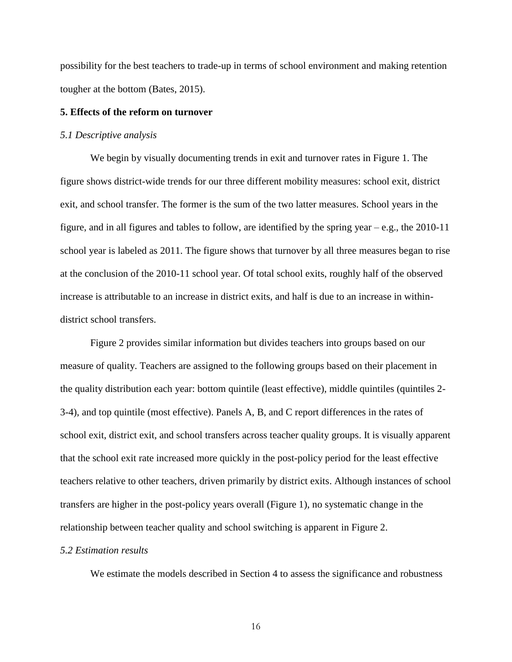possibility for the best teachers to trade-up in terms of school environment and making retention tougher at the bottom (Bates, 2015).

# **5. Effects of the reform on turnover**

#### *5.1 Descriptive analysis*

We begin by visually documenting trends in exit and turnover rates in Figure 1. The figure shows district-wide trends for our three different mobility measures: school exit, district exit, and school transfer. The former is the sum of the two latter measures. School years in the figure, and in all figures and tables to follow, are identified by the spring year – e.g., the 2010-11 school year is labeled as 2011. The figure shows that turnover by all three measures began to rise at the conclusion of the 2010-11 school year. Of total school exits, roughly half of the observed increase is attributable to an increase in district exits, and half is due to an increase in withindistrict school transfers.

Figure 2 provides similar information but divides teachers into groups based on our measure of quality. Teachers are assigned to the following groups based on their placement in the quality distribution each year: bottom quintile (least effective), middle quintiles (quintiles 2- 3-4), and top quintile (most effective). Panels A, B, and C report differences in the rates of school exit, district exit, and school transfers across teacher quality groups. It is visually apparent that the school exit rate increased more quickly in the post-policy period for the least effective teachers relative to other teachers, driven primarily by district exits. Although instances of school transfers are higher in the post-policy years overall (Figure 1), no systematic change in the relationship between teacher quality and school switching is apparent in Figure 2.

#### *5.2 Estimation results*

We estimate the models described in Section 4 to assess the significance and robustness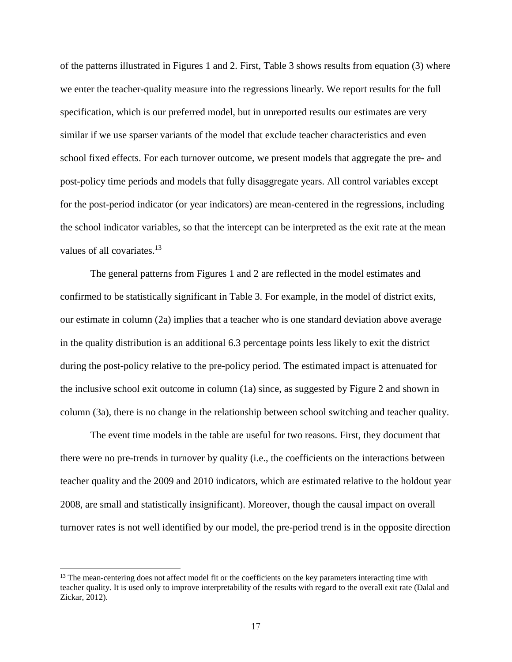of the patterns illustrated in Figures 1 and 2. First, Table 3 shows results from equation (3) where we enter the teacher-quality measure into the regressions linearly. We report results for the full specification, which is our preferred model, but in unreported results our estimates are very similar if we use sparser variants of the model that exclude teacher characteristics and even school fixed effects. For each turnover outcome, we present models that aggregate the pre- and post-policy time periods and models that fully disaggregate years. All control variables except for the post-period indicator (or year indicators) are mean-centered in the regressions, including the school indicator variables, so that the intercept can be interpreted as the exit rate at the mean values of all covariates.<sup>13</sup>

The general patterns from Figures 1 and 2 are reflected in the model estimates and confirmed to be statistically significant in Table 3. For example, in the model of district exits, our estimate in column (2a) implies that a teacher who is one standard deviation above average in the quality distribution is an additional 6.3 percentage points less likely to exit the district during the post-policy relative to the pre-policy period. The estimated impact is attenuated for the inclusive school exit outcome in column (1a) since, as suggested by Figure 2 and shown in column (3a), there is no change in the relationship between school switching and teacher quality.

The event time models in the table are useful for two reasons. First, they document that there were no pre-trends in turnover by quality (i.e., the coefficients on the interactions between teacher quality and the 2009 and 2010 indicators, which are estimated relative to the holdout year 2008, are small and statistically insignificant). Moreover, though the causal impact on overall turnover rates is not well identified by our model, the pre-period trend is in the opposite direction

<sup>&</sup>lt;sup>13</sup> The mean-centering does not affect model fit or the coefficients on the key parameters interacting time with teacher quality. It is used only to improve interpretability of the results with regard to the overall exit rate (Dalal and Zickar, 2012).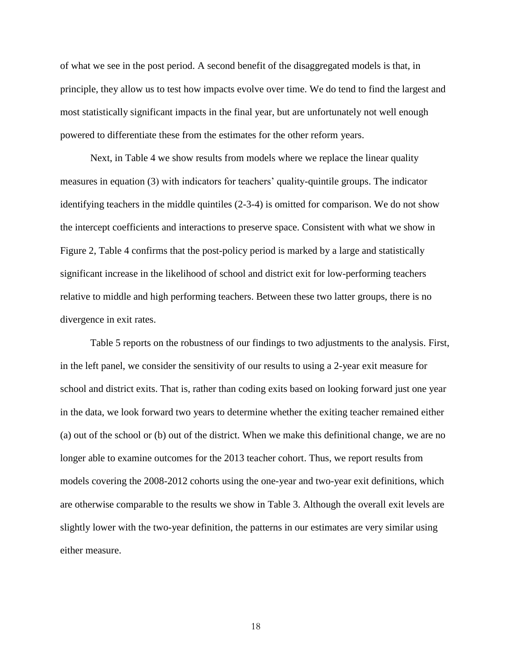of what we see in the post period. A second benefit of the disaggregated models is that, in principle, they allow us to test how impacts evolve over time. We do tend to find the largest and most statistically significant impacts in the final year, but are unfortunately not well enough powered to differentiate these from the estimates for the other reform years.

Next, in Table 4 we show results from models where we replace the linear quality measures in equation (3) with indicators for teachers' quality-quintile groups. The indicator identifying teachers in the middle quintiles (2-3-4) is omitted for comparison. We do not show the intercept coefficients and interactions to preserve space. Consistent with what we show in Figure 2, Table 4 confirms that the post-policy period is marked by a large and statistically significant increase in the likelihood of school and district exit for low-performing teachers relative to middle and high performing teachers. Between these two latter groups, there is no divergence in exit rates.

Table 5 reports on the robustness of our findings to two adjustments to the analysis. First, in the left panel, we consider the sensitivity of our results to using a 2-year exit measure for school and district exits. That is, rather than coding exits based on looking forward just one year in the data, we look forward two years to determine whether the exiting teacher remained either (a) out of the school or (b) out of the district. When we make this definitional change, we are no longer able to examine outcomes for the 2013 teacher cohort. Thus, we report results from models covering the 2008-2012 cohorts using the one-year and two-year exit definitions, which are otherwise comparable to the results we show in Table 3. Although the overall exit levels are slightly lower with the two-year definition, the patterns in our estimates are very similar using either measure.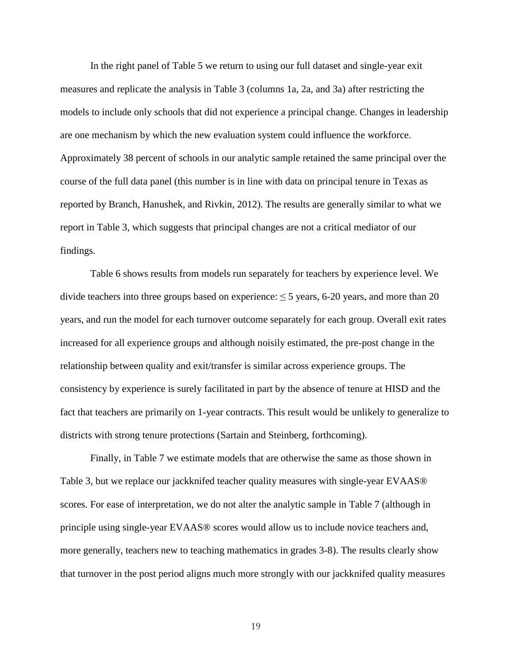In the right panel of Table 5 we return to using our full dataset and single-year exit measures and replicate the analysis in Table 3 (columns 1a, 2a, and 3a) after restricting the models to include only schools that did not experience a principal change. Changes in leadership are one mechanism by which the new evaluation system could influence the workforce. Approximately 38 percent of schools in our analytic sample retained the same principal over the course of the full data panel (this number is in line with data on principal tenure in Texas as reported by Branch, Hanushek, and Rivkin, 2012). The results are generally similar to what we report in Table 3, which suggests that principal changes are not a critical mediator of our findings.

Table 6 shows results from models run separately for teachers by experience level. We divide teachers into three groups based on experience:  $\leq$  5 years, 6-20 years, and more than 20 years, and run the model for each turnover outcome separately for each group. Overall exit rates increased for all experience groups and although noisily estimated, the pre-post change in the relationship between quality and exit/transfer is similar across experience groups. The consistency by experience is surely facilitated in part by the absence of tenure at HISD and the fact that teachers are primarily on 1-year contracts. This result would be unlikely to generalize to districts with strong tenure protections (Sartain and Steinberg, forthcoming).

Finally, in Table 7 we estimate models that are otherwise the same as those shown in Table 3, but we replace our jackknifed teacher quality measures with single-year EVAAS® scores. For ease of interpretation, we do not alter the analytic sample in Table 7 (although in principle using single-year EVAAS® scores would allow us to include novice teachers and, more generally, teachers new to teaching mathematics in grades 3-8). The results clearly show that turnover in the post period aligns much more strongly with our jackknifed quality measures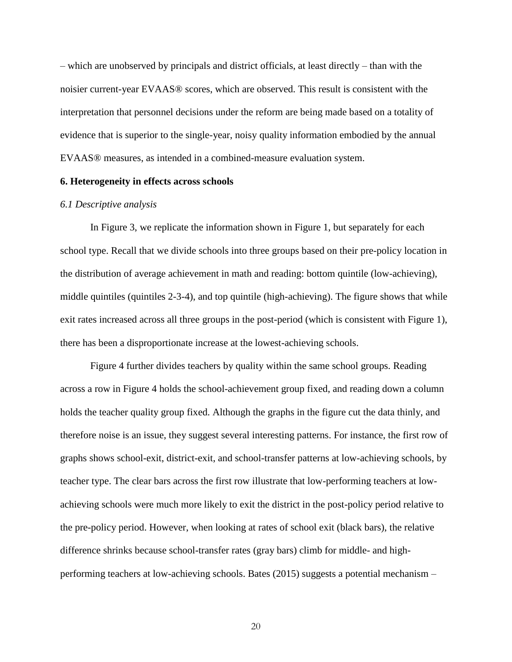– which are unobserved by principals and district officials, at least directly – than with the noisier current-year EVAAS® scores, which are observed. This result is consistent with the interpretation that personnel decisions under the reform are being made based on a totality of evidence that is superior to the single-year, noisy quality information embodied by the annual EVAAS® measures, as intended in a combined-measure evaluation system.

## **6. Heterogeneity in effects across schools**

#### *6.1 Descriptive analysis*

In Figure 3, we replicate the information shown in Figure 1, but separately for each school type. Recall that we divide schools into three groups based on their pre-policy location in the distribution of average achievement in math and reading: bottom quintile (low-achieving), middle quintiles (quintiles 2-3-4), and top quintile (high-achieving). The figure shows that while exit rates increased across all three groups in the post-period (which is consistent with Figure 1), there has been a disproportionate increase at the lowest-achieving schools.

Figure 4 further divides teachers by quality within the same school groups. Reading across a row in Figure 4 holds the school-achievement group fixed, and reading down a column holds the teacher quality group fixed. Although the graphs in the figure cut the data thinly, and therefore noise is an issue, they suggest several interesting patterns. For instance, the first row of graphs shows school-exit, district-exit, and school-transfer patterns at low-achieving schools, by teacher type. The clear bars across the first row illustrate that low-performing teachers at lowachieving schools were much more likely to exit the district in the post-policy period relative to the pre-policy period. However, when looking at rates of school exit (black bars), the relative difference shrinks because school-transfer rates (gray bars) climb for middle- and highperforming teachers at low-achieving schools. Bates (2015) suggests a potential mechanism –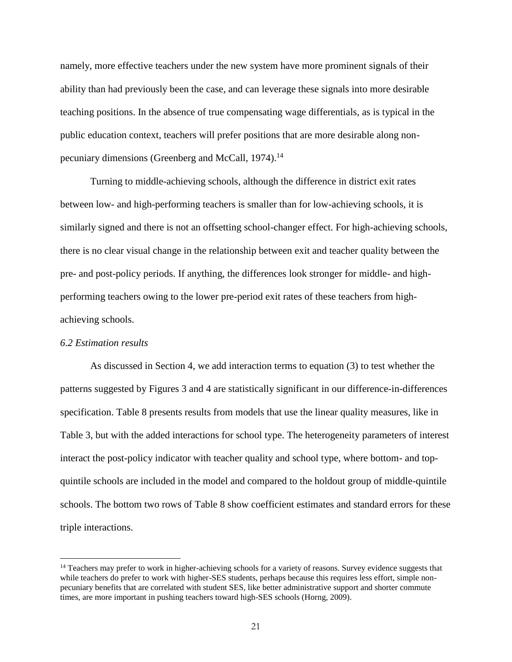namely, more effective teachers under the new system have more prominent signals of their ability than had previously been the case, and can leverage these signals into more desirable teaching positions. In the absence of true compensating wage differentials, as is typical in the public education context, teachers will prefer positions that are more desirable along nonpecuniary dimensions (Greenberg and McCall, 1974).<sup>14</sup>

Turning to middle-achieving schools, although the difference in district exit rates between low- and high-performing teachers is smaller than for low-achieving schools, it is similarly signed and there is not an offsetting school-changer effect. For high-achieving schools, there is no clear visual change in the relationship between exit and teacher quality between the pre- and post-policy periods. If anything, the differences look stronger for middle- and highperforming teachers owing to the lower pre-period exit rates of these teachers from highachieving schools.

#### *6.2 Estimation results*

 $\overline{a}$ 

As discussed in Section 4, we add interaction terms to equation (3) to test whether the patterns suggested by Figures 3 and 4 are statistically significant in our difference-in-differences specification. Table 8 presents results from models that use the linear quality measures, like in Table 3, but with the added interactions for school type. The heterogeneity parameters of interest interact the post-policy indicator with teacher quality and school type, where bottom- and topquintile schools are included in the model and compared to the holdout group of middle-quintile schools. The bottom two rows of Table 8 show coefficient estimates and standard errors for these triple interactions.

<sup>&</sup>lt;sup>14</sup> Teachers may prefer to work in higher-achieving schools for a variety of reasons. Survey evidence suggests that while teachers do prefer to work with higher-SES students, perhaps because this requires less effort, simple nonpecuniary benefits that are correlated with student SES, like better administrative support and shorter commute times, are more important in pushing teachers toward high-SES schools (Horng, 2009).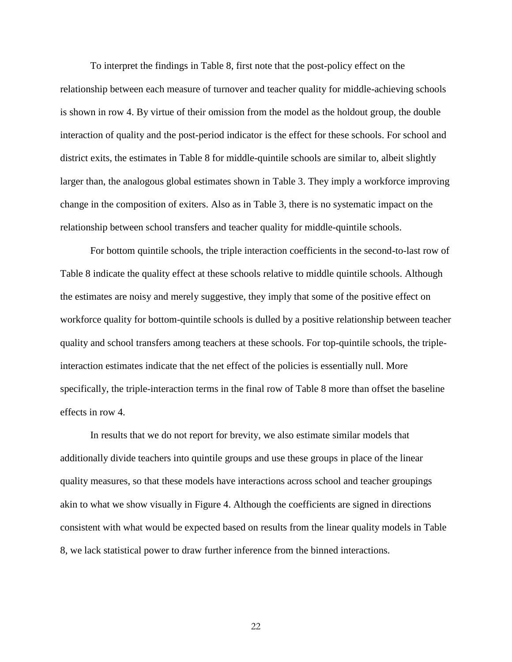To interpret the findings in Table 8, first note that the post-policy effect on the relationship between each measure of turnover and teacher quality for middle-achieving schools is shown in row 4. By virtue of their omission from the model as the holdout group, the double interaction of quality and the post-period indicator is the effect for these schools. For school and district exits, the estimates in Table 8 for middle-quintile schools are similar to, albeit slightly larger than, the analogous global estimates shown in Table 3. They imply a workforce improving change in the composition of exiters. Also as in Table 3, there is no systematic impact on the relationship between school transfers and teacher quality for middle-quintile schools.

For bottom quintile schools, the triple interaction coefficients in the second-to-last row of Table 8 indicate the quality effect at these schools relative to middle quintile schools. Although the estimates are noisy and merely suggestive, they imply that some of the positive effect on workforce quality for bottom-quintile schools is dulled by a positive relationship between teacher quality and school transfers among teachers at these schools. For top-quintile schools, the tripleinteraction estimates indicate that the net effect of the policies is essentially null. More specifically, the triple-interaction terms in the final row of Table 8 more than offset the baseline effects in row 4.

In results that we do not report for brevity, we also estimate similar models that additionally divide teachers into quintile groups and use these groups in place of the linear quality measures, so that these models have interactions across school and teacher groupings akin to what we show visually in Figure 4. Although the coefficients are signed in directions consistent with what would be expected based on results from the linear quality models in Table 8, we lack statistical power to draw further inference from the binned interactions.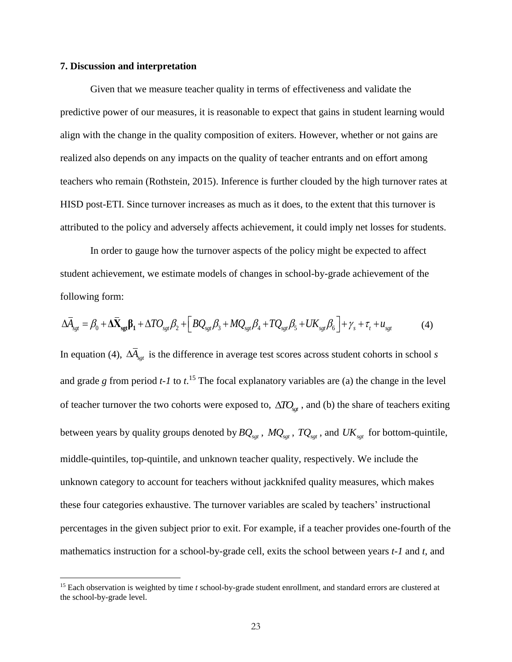### **7. Discussion and interpretation**

 $\overline{a}$ 

Given that we measure teacher quality in terms of effectiveness and validate the predictive power of our measures, it is reasonable to expect that gains in student learning would align with the change in the quality composition of exiters. However, whether or not gains are realized also depends on any impacts on the quality of teacher entrants and on effort among teachers who remain (Rothstein, 2015). Inference is further clouded by the high turnover rates at HISD post-ETI. Since turnover increases as much as it does, to the extent that this turnover is attributed to the policy and adversely affects achievement, it could imply net losses for students.

In order to gauge how the turnover aspects of the policy might be expected to affect student achievement, we estimate models of changes in school-by-grade achievement of the following form: *following form:*<br> $\Delta \overline{A}_{\text{sgt}} = \beta_0 + \Delta \overline{X}_{\text{sgt}} \beta_1 + \Delta T O_{\text{sgt}} \beta_2 + \left[ BQ_{\text{sgt}} \beta_3 + MQ_{\text{sgt}} \beta_4 + TQ_{\text{sgt}} \beta_5 + UK_{\text{sgt}} \beta_6 \right] + \gamma_s + \tau_t + u_{\text{sgt}}$  (4)

$$
\Delta \overline{A}_{\text{sgt}} = \beta_0 + \Delta \overline{X}_{\text{sgt}} \beta_1 + \Delta T O_{\text{sgt}} \beta_2 + \left[ B Q_{\text{sgt}} \beta_3 + M Q_{\text{sgt}} \beta_4 + T Q_{\text{sgt}} \beta_5 + U K_{\text{sgt}} \beta_6 \right] + \gamma_s + \tau_t + u_{\text{sgt}} \tag{4}
$$

In equation (4),  $\Delta A_{\text{sgt}}$  is the difference in average test scores across student cohorts in school *s* and grade *g* from period *t-1* to *t*. <sup>15</sup> The focal explanatory variables are (a) the change in the level of teacher turnover the two cohorts were exposed to,  $\Delta T O_{\text{sgt}}$ , and (b) the share of teachers exiting between years by quality groups denoted by  $BQ_{sgt}$ ,  $MQ_{sgt}$ ,  $TQ_{sgt}$ , and  $UK_{sgt}$  for bottom-quintile, middle-quintiles, top-quintile, and unknown teacher quality, respectively. We include the unknown category to account for teachers without jackknifed quality measures, which makes these four categories exhaustive. The turnover variables are scaled by teachers' instructional percentages in the given subject prior to exit. For example, if a teacher provides one-fourth of the mathematics instruction for a school-by-grade cell, exits the school between years *t-1* and *t*, and

<sup>15</sup> Each observation is weighted by time *t* school-by-grade student enrollment, and standard errors are clustered at the school-by-grade level.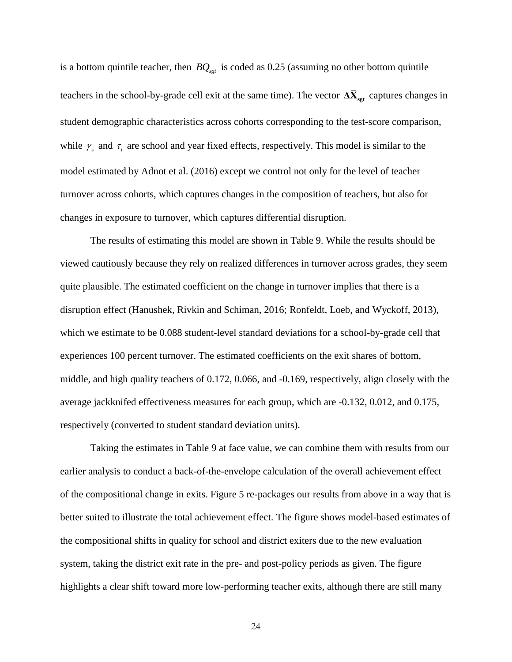is a bottom quintile teacher, then *BQsgt* is coded as 0.25 (assuming no other bottom quintile teachers in the school-by-grade cell exit at the same time). The vector  $\Delta \bar{X}_{\text{sgt}}$  captures changes in student demographic characteristics across cohorts corresponding to the test-score comparison, while  $\gamma_s$  and  $\tau_t$  are school and year fixed effects, respectively. This model is similar to the model estimated by Adnot et al. (2016) except we control not only for the level of teacher turnover across cohorts, which captures changes in the composition of teachers, but also for changes in exposure to turnover, which captures differential disruption.

The results of estimating this model are shown in Table 9. While the results should be viewed cautiously because they rely on realized differences in turnover across grades, they seem quite plausible. The estimated coefficient on the change in turnover implies that there is a disruption effect (Hanushek, Rivkin and Schiman, 2016; Ronfeldt, Loeb, and Wyckoff, 2013), which we estimate to be 0.088 student-level standard deviations for a school-by-grade cell that experiences 100 percent turnover. The estimated coefficients on the exit shares of bottom, middle, and high quality teachers of 0.172, 0.066, and -0.169, respectively, align closely with the average jackknifed effectiveness measures for each group, which are -0.132, 0.012, and 0.175, respectively (converted to student standard deviation units).

Taking the estimates in Table 9 at face value, we can combine them with results from our earlier analysis to conduct a back-of-the-envelope calculation of the overall achievement effect of the compositional change in exits. Figure 5 re-packages our results from above in a way that is better suited to illustrate the total achievement effect. The figure shows model-based estimates of the compositional shifts in quality for school and district exiters due to the new evaluation system, taking the district exit rate in the pre- and post-policy periods as given. The figure highlights a clear shift toward more low-performing teacher exits, although there are still many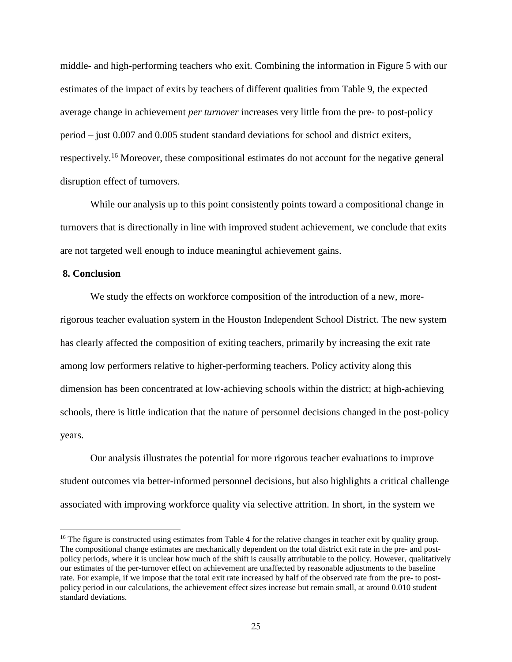middle- and high-performing teachers who exit. Combining the information in Figure 5 with our estimates of the impact of exits by teachers of different qualities from Table 9, the expected average change in achievement *per turnover* increases very little from the pre- to post-policy period – just 0.007 and 0.005 student standard deviations for school and district exiters, respectively.<sup>16</sup> Moreover, these compositional estimates do not account for the negative general disruption effect of turnovers.

While our analysis up to this point consistently points toward a compositional change in turnovers that is directionally in line with improved student achievement, we conclude that exits are not targeted well enough to induce meaningful achievement gains.

## **8. Conclusion**

 $\overline{a}$ 

We study the effects on workforce composition of the introduction of a new, morerigorous teacher evaluation system in the Houston Independent School District. The new system has clearly affected the composition of exiting teachers, primarily by increasing the exit rate among low performers relative to higher-performing teachers. Policy activity along this dimension has been concentrated at low-achieving schools within the district; at high-achieving schools, there is little indication that the nature of personnel decisions changed in the post-policy years.

Our analysis illustrates the potential for more rigorous teacher evaluations to improve student outcomes via better-informed personnel decisions, but also highlights a critical challenge associated with improving workforce quality via selective attrition. In short, in the system we

<sup>&</sup>lt;sup>16</sup> The figure is constructed using estimates from Table 4 for the relative changes in teacher exit by quality group. The compositional change estimates are mechanically dependent on the total district exit rate in the pre- and postpolicy periods, where it is unclear how much of the shift is causally attributable to the policy. However, qualitatively our estimates of the per-turnover effect on achievement are unaffected by reasonable adjustments to the baseline rate. For example, if we impose that the total exit rate increased by half of the observed rate from the pre- to postpolicy period in our calculations, the achievement effect sizes increase but remain small, at around 0.010 student standard deviations.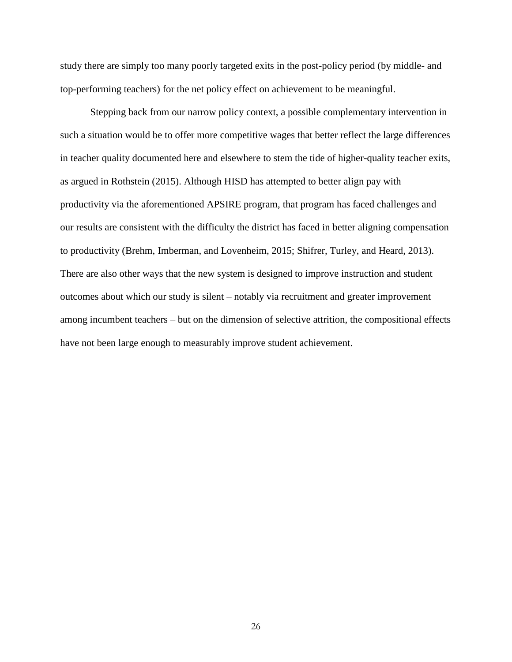study there are simply too many poorly targeted exits in the post-policy period (by middle- and top-performing teachers) for the net policy effect on achievement to be meaningful.

Stepping back from our narrow policy context, a possible complementary intervention in such a situation would be to offer more competitive wages that better reflect the large differences in teacher quality documented here and elsewhere to stem the tide of higher-quality teacher exits, as argued in Rothstein (2015). Although HISD has attempted to better align pay with productivity via the aforementioned APSIRE program, that program has faced challenges and our results are consistent with the difficulty the district has faced in better aligning compensation to productivity (Brehm, Imberman, and Lovenheim, 2015; Shifrer, Turley, and Heard, 2013). There are also other ways that the new system is designed to improve instruction and student outcomes about which our study is silent – notably via recruitment and greater improvement among incumbent teachers – but on the dimension of selective attrition, the compositional effects have not been large enough to measurably improve student achievement.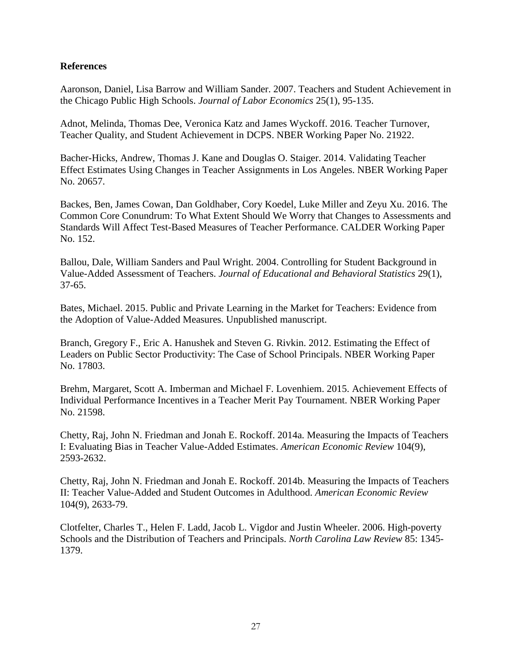# **References**

Aaronson, Daniel, Lisa Barrow and William Sander. 2007. Teachers and Student Achievement in the Chicago Public High Schools. *Journal of Labor Economics* 25(1), 95-135.

Adnot, Melinda, Thomas Dee, Veronica Katz and James Wyckoff. 2016. Teacher Turnover, Teacher Quality, and Student Achievement in DCPS. NBER Working Paper No. 21922.

Bacher-Hicks, Andrew, Thomas J. Kane and Douglas O. Staiger. 2014. Validating Teacher Effect Estimates Using Changes in Teacher Assignments in Los Angeles. NBER Working Paper No. 20657.

Backes, Ben, James Cowan, Dan Goldhaber, Cory Koedel, Luke Miller and Zeyu Xu. 2016. The Common Core Conundrum: To What Extent Should We Worry that Changes to Assessments and Standards Will Affect Test-Based Measures of Teacher Performance. CALDER Working Paper No. 152.

Ballou, Dale, William Sanders and Paul Wright. 2004. Controlling for Student Background in Value-Added Assessment of Teachers. *Journal of Educational and Behavioral Statistics* 29(1), 37-65.

Bates, Michael. 2015. Public and Private Learning in the Market for Teachers: Evidence from the Adoption of Value-Added Measures. Unpublished manuscript.

Branch, Gregory F., Eric A. Hanushek and Steven G. Rivkin. 2012. Estimating the Effect of Leaders on Public Sector Productivity: The Case of School Principals. NBER Working Paper No. 17803.

Brehm, Margaret, Scott A. Imberman and Michael F. Lovenhiem. 2015. Achievement Effects of Individual Performance Incentives in a Teacher Merit Pay Tournament. NBER Working Paper No. 21598.

Chetty, Raj, John N. Friedman and Jonah E. Rockoff. 2014a. Measuring the Impacts of Teachers I: Evaluating Bias in Teacher Value-Added Estimates. *American Economic Review* 104(9), 2593-2632.

Chetty, Raj, John N. Friedman and Jonah E. Rockoff. 2014b. Measuring the Impacts of Teachers II: Teacher Value-Added and Student Outcomes in Adulthood. *American Economic Review* 104(9), 2633-79.

Clotfelter, Charles T., Helen F. Ladd, Jacob L. Vigdor and Justin Wheeler. 2006. High-poverty Schools and the Distribution of Teachers and Principals. *North Carolina Law Review* 85: 1345- 1379.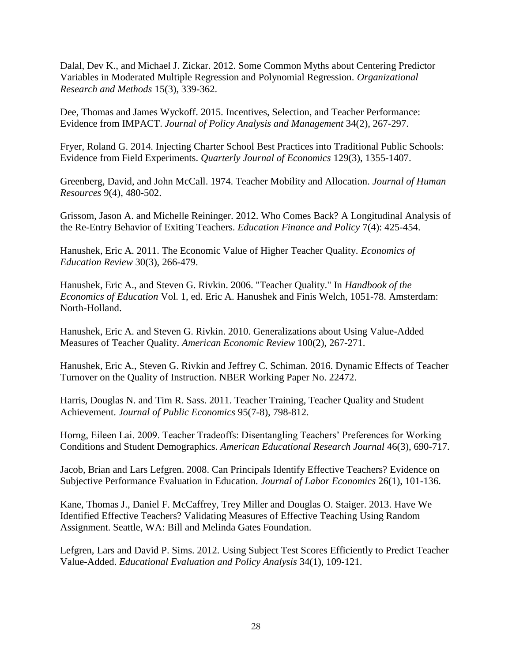Dalal, Dev K., and Michael J. Zickar. 2012. Some Common Myths about Centering Predictor Variables in Moderated Multiple Regression and Polynomial Regression. *Organizational Research and Methods* 15(3), 339-362.

Dee, Thomas and James Wyckoff. 2015. Incentives, Selection, and Teacher Performance: Evidence from IMPACT. *Journal of Policy Analysis and Management* 34(2), 267-297.

Fryer, Roland G. 2014. Injecting Charter School Best Practices into Traditional Public Schools: Evidence from Field Experiments. *Quarterly Journal of Economics* 129(3), 1355-1407.

Greenberg, David, and John McCall. 1974. Teacher Mobility and Allocation. *Journal of Human Resources* 9(4), 480-502.

Grissom, Jason A. and Michelle Reininger. 2012. Who Comes Back? A Longitudinal Analysis of the Re-Entry Behavior of Exiting Teachers. *Education Finance and Policy* 7(4): 425-454.

Hanushek, Eric A. 2011. The Economic Value of Higher Teacher Quality. *Economics of Education Review* 30(3), 266-479.

Hanushek, Eric A., and Steven G. Rivkin. 2006. "Teacher Quality." In *Handbook of the Economics of Education* Vol. 1, ed. Eric A. Hanushek and Finis Welch, 1051-78. Amsterdam: North-Holland.

Hanushek, Eric A. and Steven G. Rivkin. 2010. Generalizations about Using Value-Added Measures of Teacher Quality. *American Economic Review* 100(2), 267-271.

Hanushek, Eric A., Steven G. Rivkin and Jeffrey C. Schiman. 2016. Dynamic Effects of Teacher Turnover on the Quality of Instruction. NBER Working Paper No. 22472.

Harris, Douglas N. and Tim R. Sass. 2011. Teacher Training, Teacher Quality and Student Achievement. *Journal of Public Economics* 95(7-8), 798-812.

Horng, Eileen Lai. 2009. Teacher Tradeoffs: Disentangling Teachers' Preferences for Working Conditions and Student Demographics. *American Educational Research Journal* 46(3), 690-717.

Jacob, Brian and Lars Lefgren. 2008. Can Principals Identify Effective Teachers? Evidence on Subjective Performance Evaluation in Education. *Journal of Labor Economics* 26(1), 101-136.

Kane, Thomas J., Daniel F. McCaffrey, Trey Miller and Douglas O. Staiger. 2013. Have We Identified Effective Teachers? Validating Measures of Effective Teaching Using Random Assignment. Seattle, WA: Bill and Melinda Gates Foundation.

Lefgren, Lars and David P. Sims. 2012. Using Subject Test Scores Efficiently to Predict Teacher Value-Added. *Educational Evaluation and Policy Analysis* 34(1), 109-121.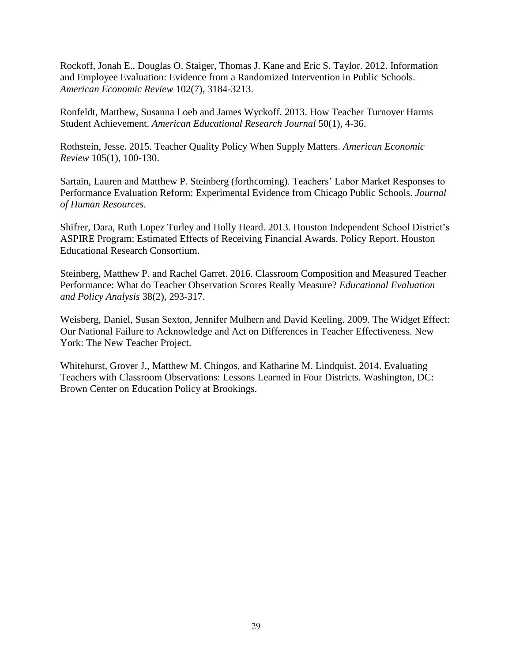Rockoff, Jonah E., Douglas O. Staiger, Thomas J. Kane and Eric S. Taylor. 2012. Information and Employee Evaluation: Evidence from a Randomized Intervention in Public Schools. *American Economic Review* 102(7), 3184-3213.

Ronfeldt, Matthew, Susanna Loeb and James Wyckoff. 2013. How Teacher Turnover Harms Student Achievement. *American Educational Research Journal* 50(1), 4-36.

Rothstein, Jesse. 2015. Teacher Quality Policy When Supply Matters. *American Economic Review* 105(1), 100-130.

Sartain, Lauren and Matthew P. Steinberg (forthcoming). Teachers' Labor Market Responses to Performance Evaluation Reform: Experimental Evidence from Chicago Public Schools. *Journal of Human Resources*.

Shifrer, Dara, Ruth Lopez Turley and Holly Heard. 2013. Houston Independent School District's ASPIRE Program: Estimated Effects of Receiving Financial Awards. Policy Report. Houston Educational Research Consortium.

Steinberg, Matthew P. and Rachel Garret. 2016. Classroom Composition and Measured Teacher Performance: What do Teacher Observation Scores Really Measure? *Educational Evaluation and Policy Analysis* 38(2), 293-317.

Weisberg, Daniel, Susan Sexton, Jennifer Mulhern and David Keeling. 2009. The Widget Effect: Our National Failure to Acknowledge and Act on Differences in Teacher Effectiveness. New York: The New Teacher Project.

Whitehurst, Grover J., Matthew M. Chingos, and Katharine M. Lindquist. 2014. Evaluating Teachers with Classroom Observations: Lessons Learned in Four Districts. Washington, DC: Brown Center on Education Policy at Brookings.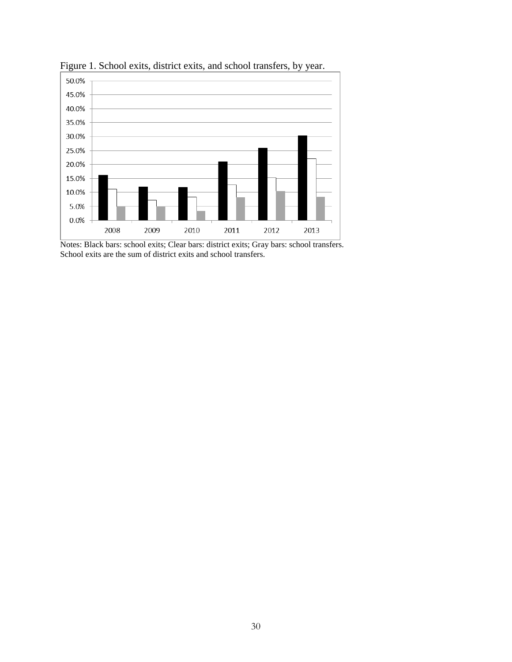

Figure 1. School exits, district exits, and school transfers, by year.

Notes: Black bars: school exits; Clear bars: district exits; Gray bars: school transfers. School exits are the sum of district exits and school transfers.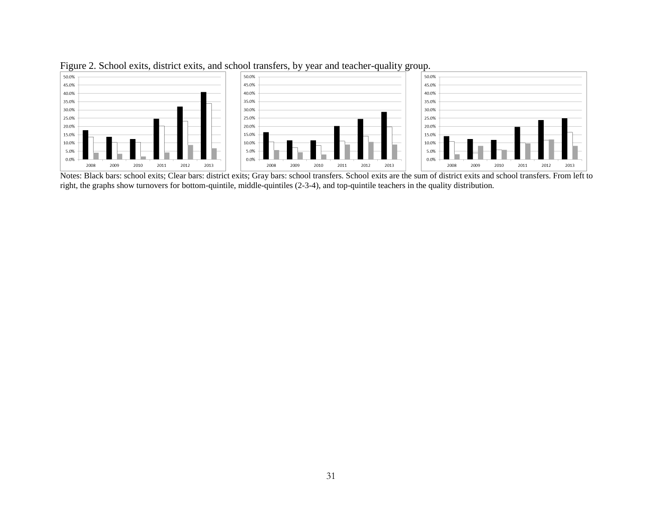

Figure 2. School exits, district exits, and school transfers, by year and teacher-quality group.

Notes: Black bars: school exits; Clear bars: district exits; Gray bars: school transfers. School exits are the sum of district exits and school transfers. From left to right, the graphs show turnovers for bottom-quintile, middle-quintiles (2-3-4), and top-quintile teachers in the quality distribution.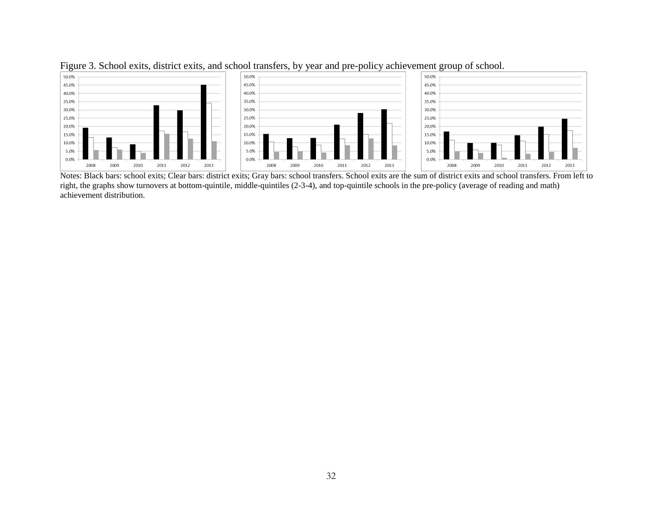

Figure 3. School exits, district exits, and school transfers, by year and pre-policy achievement group of school.

Notes: Black bars: school exits; Clear bars: district exits; Gray bars: school transfers. School exits are the sum of district exits and school transfers. From left to right, the graphs show turnovers at bottom-quintile, middle-quintiles (2-3-4), and top-quintile schools in the pre-policy (average of reading and math) achievement distribution.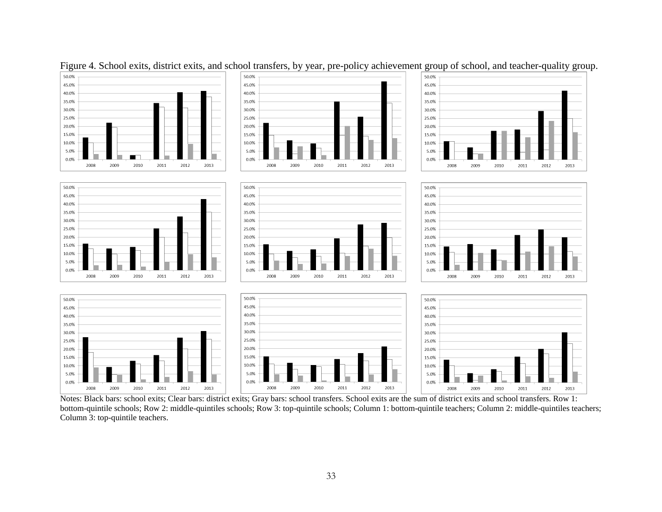

Figure 4. School exits, district exits, and school transfers, by year, pre-policy achievement group of school, and teacher-quality group.

Notes: Black bars: school exits; Clear bars: district exits; Gray bars: school transfers. School exits are the sum of district exits and school transfers. Row 1: bottom-quintile schools; Row 2: middle-quintiles schools; Row 3: top-quintile schools; Column 1: bottom-quintile teachers; Column 2: middle-quintiles teachers; Column 3: top-quintile teachers.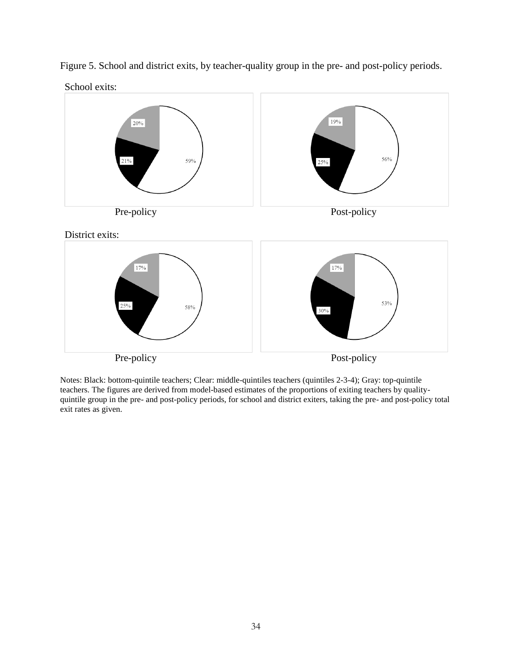

Figure 5. School and district exits, by teacher-quality group in the pre- and post-policy periods.

Notes: Black: bottom-quintile teachers; Clear: middle-quintiles teachers (quintiles 2-3-4); Gray: top-quintile teachers. The figures are derived from model-based estimates of the proportions of exiting teachers by qualityquintile group in the pre- and post-policy periods, for school and district exiters, taking the pre- and post-policy total exit rates as given.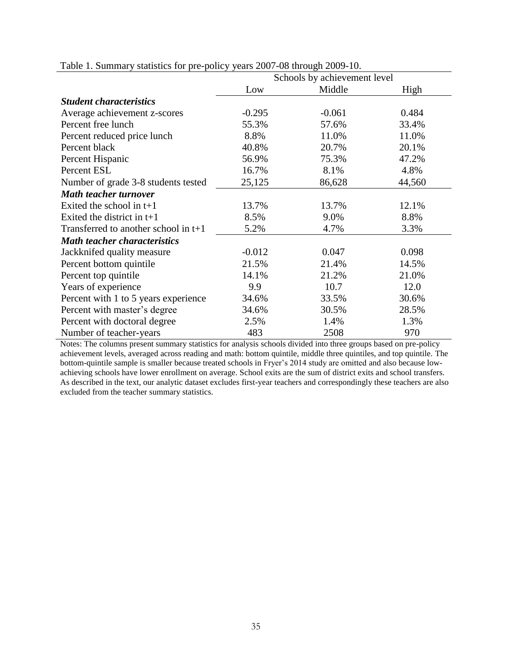|                                        |          | Schools by achievement level |        |
|----------------------------------------|----------|------------------------------|--------|
|                                        | Low      | Middle                       | High   |
| <b>Student characteristics</b>         |          |                              |        |
| Average achievement z-scores           | $-0.295$ | $-0.061$                     | 0.484  |
| Percent free lunch                     | 55.3%    | 57.6%                        | 33.4%  |
| Percent reduced price lunch            | 8.8%     | 11.0%                        | 11.0%  |
| Percent black                          | 40.8%    | 20.7%                        | 20.1%  |
| Percent Hispanic                       | 56.9%    | 75.3%                        | 47.2%  |
| Percent ESL                            | 16.7%    | 8.1%                         | 4.8%   |
| Number of grade 3-8 students tested    | 25,125   | 86,628                       | 44,560 |
| <b>Math teacher turnover</b>           |          |                              |        |
| Exited the school in $t+1$             | 13.7%    | 13.7%                        | 12.1%  |
| Exited the district in $t+1$           | 8.5%     | 9.0%                         | 8.8%   |
| Transferred to another school in $t+1$ | 5.2%     | 4.7%                         | 3.3%   |
| <b>Math teacher characteristics</b>    |          |                              |        |
| Jackknifed quality measure             | $-0.012$ | 0.047                        | 0.098  |
| Percent bottom quintile                | 21.5%    | 21.4%                        | 14.5%  |
| Percent top quintile                   | 14.1%    | 21.2%                        | 21.0%  |
| Years of experience                    | 9.9      | 10.7                         | 12.0   |
| Percent with 1 to 5 years experience   | 34.6%    | 33.5%                        | 30.6%  |
| Percent with master's degree           | 34.6%    | 30.5%                        | 28.5%  |
| Percent with doctoral degree           | 2.5%     | 1.4%                         | 1.3%   |
| Number of teacher-years                | 483      | 2508                         | 970    |

Table 1. Summary statistics for pre-policy years 2007-08 through 2009-10.

Notes: The columns present summary statistics for analysis schools divided into three groups based on pre-policy achievement levels, averaged across reading and math: bottom quintile, middle three quintiles, and top quintile. The bottom-quintile sample is smaller because treated schools in Fryer's 2014 study are omitted and also because lowachieving schools have lower enrollment on average. School exits are the sum of district exits and school transfers. As described in the text, our analytic dataset excludes first-year teachers and correspondingly these teachers are also excluded from the teacher summary statistics.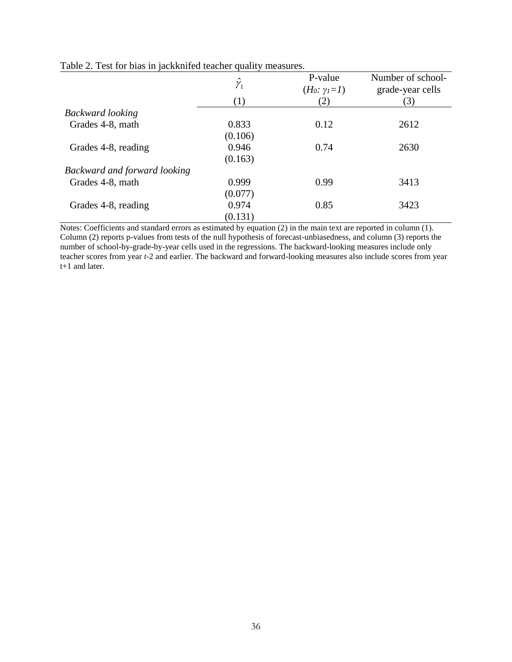|                              | $\hat{\gamma}_{_1}$<br>(1) | P-value<br>$(H_0: \gamma_I = I)$<br>(2) | Number of school-<br>grade-year cells<br>(3) |
|------------------------------|----------------------------|-----------------------------------------|----------------------------------------------|
| <b>Backward</b> looking      |                            |                                         |                                              |
| Grades 4-8, math             | 0.833                      | 0.12                                    | 2612                                         |
|                              | (0.106)                    |                                         |                                              |
| Grades 4-8, reading          | 0.946                      | 0.74                                    | 2630                                         |
|                              | (0.163)                    |                                         |                                              |
| Backward and forward looking |                            |                                         |                                              |
| Grades 4-8, math             | 0.999                      | 0.99                                    | 3413                                         |
|                              | (0.077)                    |                                         |                                              |
| Grades 4-8, reading          | 0.974                      | 0.85                                    | 3423                                         |
|                              | (0.131)                    |                                         |                                              |

Table 2. Test for bias in jackknifed teacher quality measures.

Notes: Coefficients and standard errors as estimated by equation (2) in the main text are reported in column (1). Column (2) reports p-values from tests of the null hypothesis of forecast-unbiasedness, and column (3) reports the number of school-by-grade-by-year cells used in the regressions. The backward-looking measures include only teacher scores from year *t*-2 and earlier. The backward and forward-looking measures also include scores from year t+1 and later.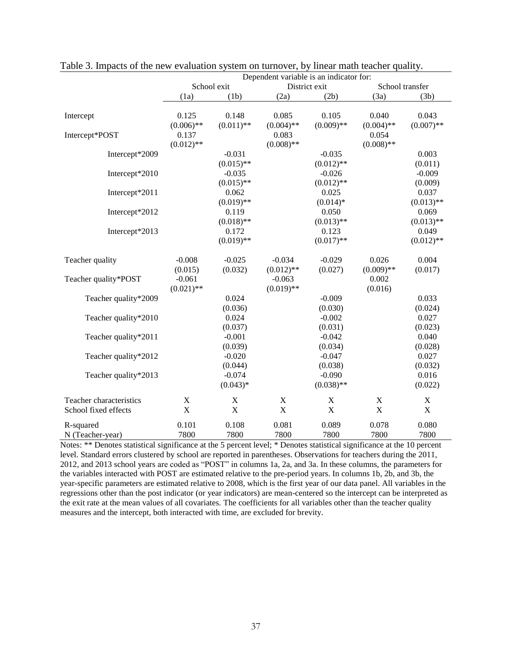|                                                 | Dependent variable is an indicator for: |                                          |                                       |                                          |                                       |                                |
|-------------------------------------------------|-----------------------------------------|------------------------------------------|---------------------------------------|------------------------------------------|---------------------------------------|--------------------------------|
|                                                 |                                         | School exit                              | District exit<br>School transfer      |                                          |                                       |                                |
|                                                 | (1a)                                    | (1b)                                     | (2a)                                  | (2b)                                     | (3a)                                  | (3b)                           |
| Intercept                                       | 0.125                                   | 0.148                                    | 0.085                                 | 0.105                                    | 0.040                                 | 0.043                          |
| Intercept*POST                                  | $(0.006)$ **<br>0.137<br>$(0.012)$ **   | $(0.011)$ **                             | $(0.004)$ **<br>0.083<br>$(0.008)$ ** | $(0.009)$ **                             | $(0.004)$ **<br>0.054<br>$(0.008)$ ** | $(0.007)$ **                   |
| Intercept*2009                                  |                                         | $-0.031$                                 |                                       | $-0.035$                                 |                                       | 0.003                          |
| Intercept*2010                                  |                                         | $(0.015)$ **<br>$-0.035$<br>$(0.015)$ ** |                                       | $(0.012)$ **<br>$-0.026$<br>$(0.012)$ ** |                                       | (0.011)<br>$-0.009$<br>(0.009) |
| Intercept*2011                                  |                                         | 0.062<br>$(0.019)$ **                    |                                       | 0.025<br>$(0.014)*$                      |                                       | 0.037<br>$(0.013)$ **          |
| Intercept*2012                                  |                                         | 0.119<br>$(0.018)$ **                    |                                       | 0.050<br>$(0.013)$ **                    |                                       | 0.069<br>$(0.013)$ **          |
| Intercept*2013                                  |                                         | 0.172<br>$(0.019)$ **                    |                                       | 0.123<br>$(0.017)$ **                    |                                       | 0.049<br>$(0.012)$ **          |
| Teacher quality                                 | $-0.008$<br>(0.015)                     | $-0.025$<br>(0.032)                      | $-0.034$<br>$(0.012)$ **              | $-0.029$<br>(0.027)                      | 0.026<br>$(0.009)$ **                 | 0.004<br>(0.017)               |
| Teacher quality*POST                            | $-0.061$<br>$(0.021)$ **                |                                          | $-0.063$<br>$(0.019)$ **              |                                          | 0.002<br>(0.016)                      |                                |
| Teacher quality*2009                            |                                         | 0.024<br>(0.036)                         |                                       | $-0.009$<br>(0.030)                      |                                       | 0.033<br>(0.024)               |
| Teacher quality*2010                            |                                         | 0.024<br>(0.037)                         |                                       | $-0.002$<br>(0.031)                      |                                       | 0.027<br>(0.023)               |
| Teacher quality*2011                            |                                         | $-0.001$<br>(0.039)                      |                                       | $-0.042$<br>(0.034)                      |                                       | 0.040<br>(0.028)               |
| Teacher quality*2012                            |                                         | $-0.020$<br>(0.044)                      |                                       | $-0.047$<br>(0.038)                      |                                       | 0.027<br>(0.032)               |
| Teacher quality*2013                            |                                         | $-0.074$<br>$(0.043)*$                   |                                       | $-0.090$<br>$(0.038)$ **                 |                                       | 0.016<br>(0.022)               |
| Teacher characteristics<br>School fixed effects | $\mathbf X$<br>$\mathbf X$              | $\mathbf X$<br>$\mathbf X$               | $\mathbf X$<br>$\overline{X}$         | $\mathbf X$<br>$\mathbf X$               | $\mathbf X$<br>$\mathbf X$            | $\mathbf X$<br>$\mathbf X$     |
| R-squared<br>N (Teacher-year)                   | 0.101<br>7800                           | 0.108<br>7800                            | 0.081<br>7800                         | 0.089<br>7800                            | 0.078<br>7800                         | 0.080<br>7800                  |

Table 3. Impacts of the new evaluation system on turnover, by linear math teacher quality.

Notes: \*\* Denotes statistical significance at the 5 percent level; \* Denotes statistical significance at the 10 percent level. Standard errors clustered by school are reported in parentheses. Observations for teachers during the 2011, 2012, and 2013 school years are coded as "POST" in columns 1a, 2a, and 3a. In these columns, the parameters for the variables interacted with POST are estimated relative to the pre-period years. In columns 1b, 2b, and 3b, the year-specific parameters are estimated relative to 2008, which is the first year of our data panel. All variables in the regressions other than the post indicator (or year indicators) are mean-centered so the intercept can be interpreted as the exit rate at the mean values of all covariates. The coefficients for all variables other than the teacher quality measures and the intercept, both interacted with time, are excluded for brevity.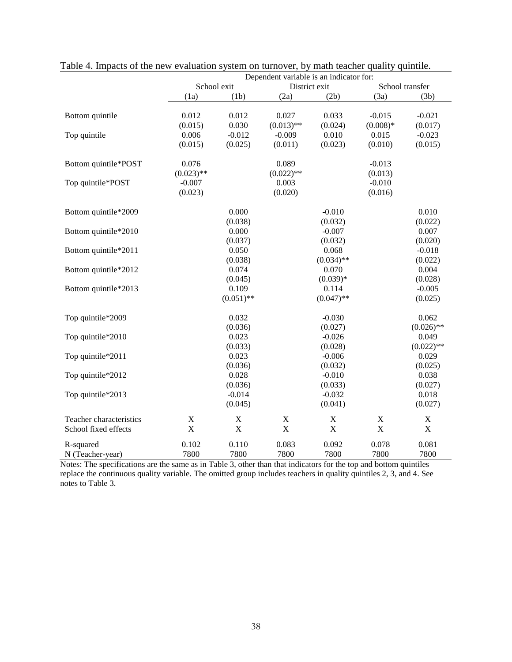|                         |              |                           |                           | Dependent variable is an indicator for: |             |                 |
|-------------------------|--------------|---------------------------|---------------------------|-----------------------------------------|-------------|-----------------|
|                         |              | School exit               |                           | District exit                           |             | School transfer |
|                         | (1a)         | (1b)                      | (2a)                      | (2b)                                    | (3a)        | (3b)            |
| Bottom quintile         | 0.012        | 0.012                     | 0.027                     | 0.033                                   | $-0.015$    | $-0.021$        |
|                         | (0.015)      | 0.030                     | $(0.013)$ **              | (0.024)                                 | $(0.008)*$  | (0.017)         |
| Top quintile            | 0.006        | $-0.012$                  | $-0.009$                  | 0.010                                   | 0.015       | $-0.023$        |
|                         | (0.015)      | (0.025)                   | (0.011)                   | (0.023)                                 | (0.010)     | (0.015)         |
| Bottom quintile*POST    | 0.076        |                           | 0.089                     |                                         | $-0.013$    |                 |
|                         | $(0.023)$ ** |                           | $(0.022)$ **              |                                         | (0.013)     |                 |
| Top quintile*POST       | $-0.007$     |                           | 0.003                     |                                         | $-0.010$    |                 |
|                         | (0.023)      |                           | (0.020)                   |                                         | (0.016)     |                 |
| Bottom quintile*2009    |              | 0.000                     |                           | $-0.010$                                |             | 0.010           |
|                         |              | (0.038)                   |                           | (0.032)                                 |             | (0.022)         |
| Bottom quintile*2010    |              | 0.000                     |                           | $-0.007$                                |             | 0.007           |
|                         |              | (0.037)                   |                           | (0.032)                                 |             | (0.020)         |
| Bottom quintile*2011    |              | 0.050                     |                           | 0.068                                   |             | $-0.018$        |
|                         |              | (0.038)                   |                           | $(0.034)$ **                            |             | (0.022)         |
| Bottom quintile*2012    |              | 0.074                     |                           | 0.070                                   |             | 0.004           |
|                         |              | (0.045)                   |                           | $(0.039)*$                              |             | (0.028)         |
| Bottom quintile*2013    |              | 0.109                     |                           | 0.114                                   |             | $-0.005$        |
|                         |              | $(0.051)$ **              |                           | $(0.047)$ **                            |             | (0.025)         |
| Top quintile*2009       |              | 0.032                     |                           | $-0.030$                                |             | 0.062           |
|                         |              | (0.036)                   |                           | (0.027)                                 |             | $(0.026)$ **    |
| Top quintile*2010       |              | 0.023                     |                           | $-0.026$                                |             | 0.049           |
|                         |              | (0.033)                   |                           | (0.028)                                 |             | $(0.022)$ **    |
| Top quintile*2011       |              | 0.023                     |                           | $-0.006$                                |             | 0.029           |
|                         |              | (0.036)                   |                           | (0.032)                                 |             | (0.025)         |
| Top quintile*2012       |              | 0.028                     |                           | $-0.010$                                |             | 0.038           |
|                         |              | (0.036)                   |                           | (0.033)                                 |             | (0.027)         |
| Top quintile*2013       |              | $-0.014$                  |                           | $-0.032$                                |             | 0.018           |
|                         |              | (0.045)                   |                           | (0.041)                                 |             | (0.027)         |
| Teacher characteristics | $\mathbf X$  | $\boldsymbol{\mathrm{X}}$ | $\boldsymbol{\mathrm{X}}$ | X                                       | $\mathbf X$ | X               |
| School fixed effects    | $\mathbf X$  | $\mathbf X$               | $\mathbf X$               | $\mathbf X$                             | X           | $\mathbf X$     |
| R-squared               | 0.102        | 0.110                     | 0.083                     | 0.092                                   | 0.078       | 0.081           |
| N (Teacher-year)        | 7800         | 7800                      | 7800                      | 7800                                    | 7800        | 7800            |

Table 4. Impacts of the new evaluation system on turnover, by math teacher quality quintile.

Notes: The specifications are the same as in Table 3, other than that indicators for the top and bottom quintiles replace the continuous quality variable. The omitted group includes teachers in quality quintiles 2, 3, and 4. See notes to Table 3.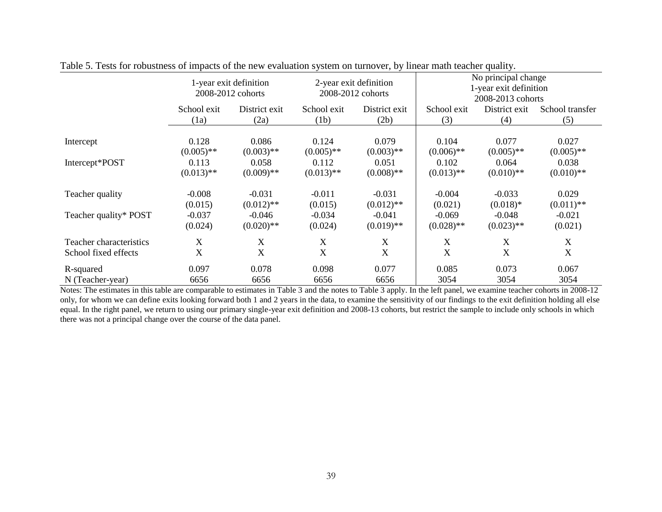|                         | 1-year exit definition<br>2008-2012 cohorts |               | 2-year exit definition<br>2008-2012 cohorts |               | No principal change<br>1-year exit definition<br>2008-2013 cohorts |              |              |  |
|-------------------------|---------------------------------------------|---------------|---------------------------------------------|---------------|--------------------------------------------------------------------|--------------|--------------|--|
|                         | School exit                                 | District exit | School exit                                 | District exit | District exit<br>School exit<br>School transfer                    |              |              |  |
|                         | (1a)                                        | (2a)          | (1b)                                        | (2b)          | (3)                                                                | (4)          | (5)          |  |
|                         | 0.128                                       | 0.086         | 0.124                                       | 0.079         | 0.104                                                              | 0.077        | 0.027        |  |
| Intercept               | $(0.005)$ **                                | $(0.003)$ **  | $(0.005)$ **                                | $(0.003)$ **  | $(0.006)$ **                                                       | $(0.005)$ ** | $(0.005)$ ** |  |
| Intercept*POST          | 0.113                                       | 0.058         | 0.112                                       | 0.051         | 0.102                                                              | 0.064        | 0.038        |  |
|                         | $(0.013)$ **                                | $(0.009)$ **  | $(0.013)$ **                                | $(0.008)$ **  | $(0.013)$ **                                                       | $(0.010)$ ** | $(0.010)$ ** |  |
| Teacher quality         | $-0.008$                                    | $-0.031$      | $-0.011$                                    | $-0.031$      | $-0.004$                                                           | $-0.033$     | 0.029        |  |
|                         | (0.015)                                     | $(0.012)$ **  | (0.015)                                     | $(0.012)$ **  | (0.021)                                                            | $(0.018)*$   | $(0.011)$ ** |  |
| Teacher quality* POST   | $-0.037$                                    | $-0.046$      | $-0.034$                                    | $-0.041$      | $-0.069$                                                           | $-0.048$     | $-0.021$     |  |
|                         | (0.024)                                     | $(0.020)$ **  | (0.024)                                     | $(0.019)$ **  | $(0.028)$ **                                                       | $(0.023)$ ** | (0.021)      |  |
| Teacher characteristics | X                                           | X             | X                                           | X             | X                                                                  | X            | X            |  |
| School fixed effects    | $\boldsymbol{X}$                            | X             | $\mathbf X$                                 | X             | X                                                                  | X            | X            |  |
| R-squared               | 0.097                                       | 0.078         | 0.098                                       | 0.077         | 0.085                                                              | 0.073        | 0.067        |  |
| N (Teacher-year)        | 6656                                        | 6656          | 6656                                        | 6656          | 3054                                                               | 3054         | 3054         |  |

Table 5. Tests for robustness of impacts of the new evaluation system on turnover, by linear math teacher quality.

Notes: The estimates in this table are comparable to estimates in Table 3 and the notes to Table 3 apply. In the left panel, we examine teacher cohorts in 2008-12 only, for whom we can define exits looking forward both 1 and 2 years in the data, to examine the sensitivity of our findings to the exit definition holding all else equal. In the right panel, we return to using our primary single-year exit definition and 2008-13 cohorts, but restrict the sample to include only schools in which there was not a principal change over the course of the data panel.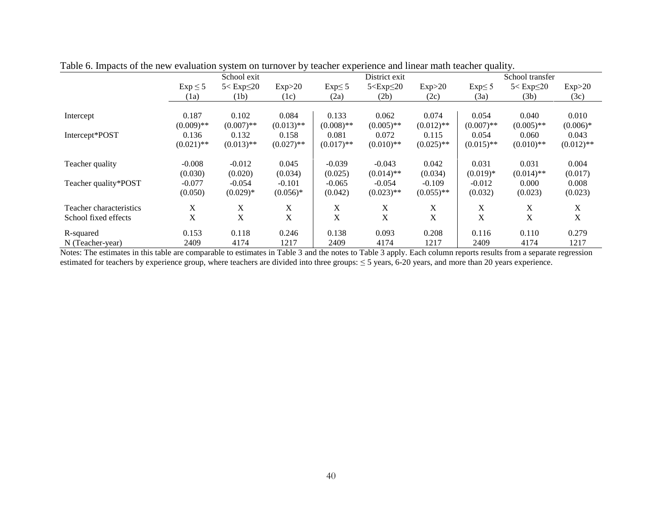| Table 0. Impacts of the new evaluation system on turnover by teacher experience and mical main teacher quality. |              |                     |              |              |                     |              |                           |                     |              |  |
|-----------------------------------------------------------------------------------------------------------------|--------------|---------------------|--------------|--------------|---------------------|--------------|---------------------------|---------------------|--------------|--|
|                                                                                                                 |              | School exit         |              |              | District exit       |              |                           | School transfer     |              |  |
|                                                                                                                 | $Exp \leq 5$ | $5 <$ Exp $\leq$ 20 | Exp>20       | $Exp\leq 5$  | $5 <$ Exp $\leq$ 20 | Exp>20       | $Exp\leq 5$               | $5 <$ Exp $\leq$ 20 | Exp>20       |  |
|                                                                                                                 | (1a)         | (1b)                | (1c)         | (2a)         | (2b)                | (2c)         | (3a)                      | (3b)                | (3c)         |  |
|                                                                                                                 |              |                     |              |              |                     |              |                           |                     |              |  |
| Intercept                                                                                                       | 0.187        | 0.102               | 0.084        | 0.133        | 0.062               | 0.074        | 0.054                     | 0.040               | 0.010        |  |
|                                                                                                                 | $(0.009)$ ** | $(0.007)$ **        | $(0.013)$ ** | $(0.008)$ ** | $(0.005)$ **        | $(0.012)$ ** | $(0.007)$ **              | $(0.005)$ **        | $(0.006)*$   |  |
| Intercept*POST                                                                                                  | 0.136        | 0.132               | 0.158        | 0.081        | 0.072               | 0.115        | 0.054                     | 0.060               | 0.043        |  |
|                                                                                                                 | $(0.021)$ ** | $(0.013)$ **        | $(0.027)$ ** | $(0.017)$ ** | $(0.010)$ **        | $(0.025)$ ** | $(0.015)$ **              | $(0.010)$ **        | $(0.012)$ ** |  |
| Teacher quality                                                                                                 | $-0.008$     | $-0.012$            | 0.045        | $-0.039$     | $-0.043$            | 0.042        | 0.031                     | 0.031               | 0.004        |  |
|                                                                                                                 | (0.030)      | (0.020)             | (0.034)      | (0.025)      | $(0.014)$ **        | (0.034)      | $(0.019)*$                | $(0.014)$ **        | (0.017)      |  |
| Teacher quality*POST                                                                                            | $-0.077$     | $-0.054$            | $-0.101$     | $-0.065$     | $-0.054$            | $-0.109$     | $-0.012$                  | 0.000               | 0.008        |  |
|                                                                                                                 | (0.050)      | $(0.029)*$          | $(0.056)*$   | (0.042)      | $(0.023)$ **        | $(0.055)$ ** | (0.032)                   | (0.023)             | (0.023)      |  |
| Teacher characteristics                                                                                         | X            | X                   | X            | X            | X                   | X            | X                         | X                   | X            |  |
| School fixed effects                                                                                            | X            | X                   | X            | X            | X                   | X            | $\boldsymbol{\mathrm{X}}$ | X                   | X            |  |
| R-squared                                                                                                       | 0.153        | 0.118               | 0.246        | 0.138        | 0.093               | 0.208        | 0.116                     | 0.110               | 0.279        |  |
| N (Teacher-year)                                                                                                | 2409         | 4174                | 1217         | 2409         | 4174                | 1217         | 2409                      | 4174                | 1217         |  |

Table 6. Impacts of the new evaluation system on turnover by teacher experience and linear math teacher quality.

Notes: The estimates in this table are comparable to estimates in Table 3 and the notes to Table 3 apply. Each column reports results from a separate regression estimated for teachers by experience group, where teachers are divided into three groups: ≤ 5 years, 6-20 years, and more than 20 years experience.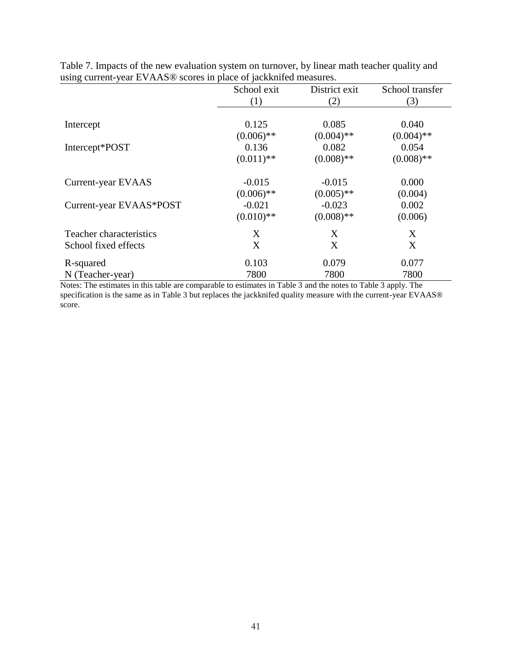| $\frac{1}{2}$ , where $\frac{1}{2}$ , when $\frac{1}{2}$ , $\frac{1}{2}$ and $\frac{1}{2}$ is the set of $\frac{1}{2}$ are interesting the set of $\frac{1}{2}$ | School exit  | District exit | School transfer |
|-----------------------------------------------------------------------------------------------------------------------------------------------------------------|--------------|---------------|-----------------|
|                                                                                                                                                                 | (1)          | (2)           | (3)             |
|                                                                                                                                                                 |              |               |                 |
| Intercept                                                                                                                                                       | 0.125        | 0.085         | 0.040           |
|                                                                                                                                                                 | $(0.006)$ ** | $(0.004)$ **  | $(0.004)$ **    |
| Intercept*POST                                                                                                                                                  | 0.136        | 0.082         | 0.054           |
|                                                                                                                                                                 | $(0.011)$ ** | $(0.008)$ **  | $(0.008)$ **    |
| Current-year EVAAS                                                                                                                                              | $-0.015$     | $-0.015$      | 0.000           |
|                                                                                                                                                                 | $(0.006)$ ** | $(0.005)$ **  | (0.004)         |
| Current-year EVAAS*POST                                                                                                                                         | $-0.021$     | $-0.023$      | 0.002           |
|                                                                                                                                                                 | $(0.010)$ ** | $(0.008)$ **  | (0.006)         |
| Teacher characteristics                                                                                                                                         | X            | X             | X               |
| School fixed effects                                                                                                                                            | X            | X             | X               |
| R-squared                                                                                                                                                       | 0.103        | 0.079         | 0.077           |
| N (Teacher-year)                                                                                                                                                | 7800         | 7800          | 7800            |

Table 7. Impacts of the new evaluation system on turnover, by linear math teacher quality and using current-year EVAAS® scores in place of jackknifed measures.

Notes: The estimates in this table are comparable to estimates in Table 3 and the notes to Table 3 apply. The specification is the same as in Table 3 but replaces the jackknifed quality measure with the current-year EVAAS® score.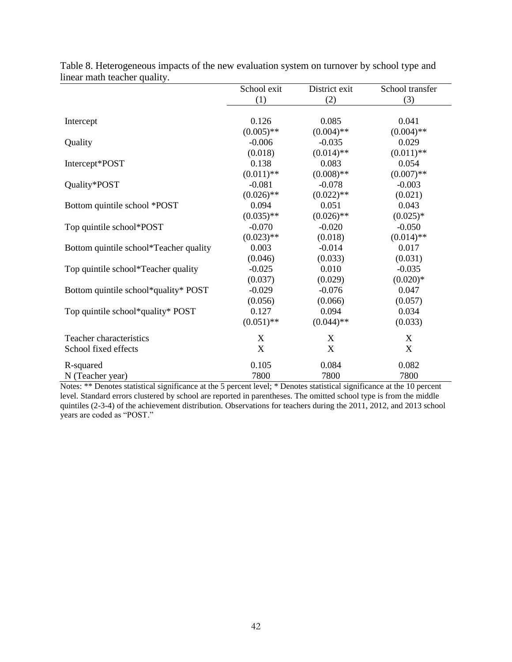|                                        | School exit               | District exit | School transfer           |
|----------------------------------------|---------------------------|---------------|---------------------------|
|                                        | (1)                       | (2)           | (3)                       |
|                                        |                           |               |                           |
| Intercept                              | 0.126                     | 0.085         | 0.041                     |
|                                        | $(0.005)$ **              | $(0.004)$ **  | $(0.004)$ **              |
| Quality                                | $-0.006$                  | $-0.035$      | 0.029                     |
|                                        | (0.018)                   | $(0.014)$ **  | $(0.011)$ **              |
| Intercept*POST                         | 0.138                     | 0.083         | 0.054                     |
|                                        | $(0.011)$ **              | $(0.008)$ **  | $(0.007)$ **              |
| Quality*POST                           | $-0.081$                  | $-0.078$      | $-0.003$                  |
|                                        | $(0.026)$ **              | $(0.022)$ **  | (0.021)                   |
| Bottom quintile school *POST           | 0.094                     | 0.051         | 0.043                     |
|                                        | $(0.035)$ **              | $(0.026)$ **  | $(0.025)*$                |
| Top quintile school*POST               | $-0.070$                  | $-0.020$      | $-0.050$                  |
|                                        | $(0.023)$ **              | (0.018)       | $(0.014)$ **              |
| Bottom quintile school*Teacher quality | 0.003                     | $-0.014$      | 0.017                     |
|                                        | (0.046)                   | (0.033)       | (0.031)                   |
| Top quintile school*Teacher quality    | $-0.025$                  | 0.010         | $-0.035$                  |
|                                        | (0.037)                   | (0.029)       | $(0.020)*$                |
| Bottom quintile school*quality* POST   | $-0.029$                  | $-0.076$      | 0.047                     |
|                                        | (0.056)                   | (0.066)       | (0.057)                   |
| Top quintile school*quality* POST      | 0.127                     | 0.094         | 0.034                     |
|                                        | $(0.051)$ **              | $(0.044)$ **  | (0.033)                   |
| Teacher characteristics                | X                         | X             | X                         |
| School fixed effects                   | $\boldsymbol{\mathrm{X}}$ | X             | $\boldsymbol{\mathrm{X}}$ |
| R-squared                              | 0.105                     | 0.084         | 0.082                     |
| N (Teacher year)                       | 7800                      | 7800          | 7800                      |

Table 8. Heterogeneous impacts of the new evaluation system on turnover by school type and linear math teacher quality.

Notes: \*\* Denotes statistical significance at the 5 percent level; \* Denotes statistical significance at the 10 percent level. Standard errors clustered by school are reported in parentheses. The omitted school type is from the middle quintiles (2-3-4) of the achievement distribution. Observations for teachers during the 2011, 2012, and 2013 school years are coded as "POST."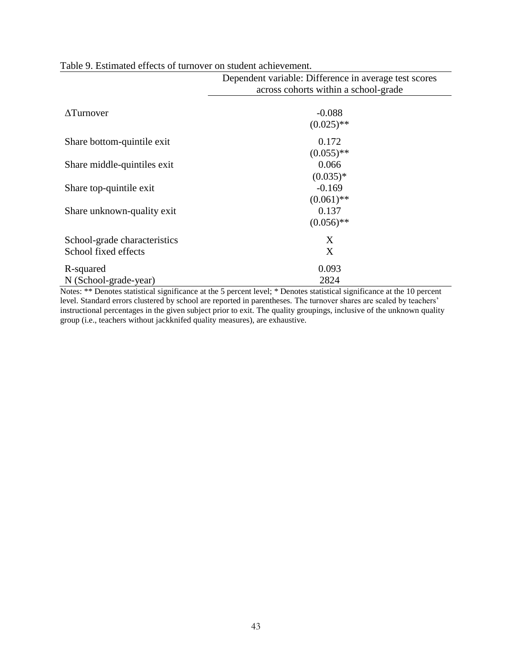|                              | Dependent variable: Difference in average test scores<br>across cohorts within a school-grade |  |  |  |  |  |
|------------------------------|-----------------------------------------------------------------------------------------------|--|--|--|--|--|
|                              |                                                                                               |  |  |  |  |  |
|                              |                                                                                               |  |  |  |  |  |
| $\Delta$ Turnover            | $-0.088$                                                                                      |  |  |  |  |  |
|                              | $(0.025)$ **                                                                                  |  |  |  |  |  |
| Share bottom-quintile exit   | 0.172                                                                                         |  |  |  |  |  |
|                              | $(0.055)$ **                                                                                  |  |  |  |  |  |
| Share middle-quintiles exit  | 0.066                                                                                         |  |  |  |  |  |
|                              | $(0.035)*$                                                                                    |  |  |  |  |  |
| Share top-quintile exit      | $-0.169$                                                                                      |  |  |  |  |  |
|                              | $(0.061)$ **                                                                                  |  |  |  |  |  |
| Share unknown-quality exit   | 0.137                                                                                         |  |  |  |  |  |
|                              | $(0.056)$ **                                                                                  |  |  |  |  |  |
| School-grade characteristics | X                                                                                             |  |  |  |  |  |
| School fixed effects         | X                                                                                             |  |  |  |  |  |
| R-squared                    | 0.093                                                                                         |  |  |  |  |  |
| N (School-grade-year)        | 2824                                                                                          |  |  |  |  |  |

# Table 9. Estimated effects of turnover on student achievement.

Notes: \*\* Denotes statistical significance at the 5 percent level; \* Denotes statistical significance at the 10 percent level. Standard errors clustered by school are reported in parentheses. The turnover shares are scaled by teachers' instructional percentages in the given subject prior to exit. The quality groupings, inclusive of the unknown quality group (i.e., teachers without jackknifed quality measures), are exhaustive.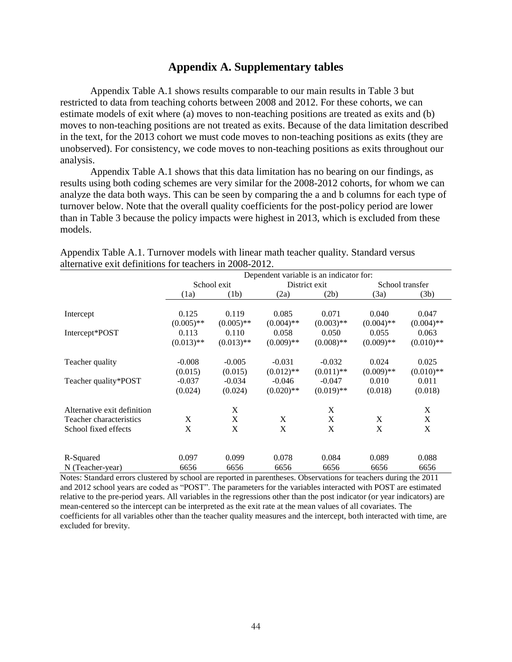# **Appendix A. Supplementary tables**

Appendix Table A.1 shows results comparable to our main results in Table 3 but restricted to data from teaching cohorts between 2008 and 2012. For these cohorts, we can estimate models of exit where (a) moves to non-teaching positions are treated as exits and (b) moves to non-teaching positions are not treated as exits. Because of the data limitation described in the text, for the 2013 cohort we must code moves to non-teaching positions as exits (they are unobserved). For consistency, we code moves to non-teaching positions as exits throughout our analysis.

Appendix Table A.1 shows that this data limitation has no bearing on our findings, as results using both coding schemes are very similar for the 2008-2012 cohorts, for whom we can analyze the data both ways. This can be seen by comparing the a and b columns for each type of turnover below. Note that the overall quality coefficients for the post-policy period are lower than in Table 3 because the policy impacts were highest in 2013, which is excluded from these models.

|                             | Dependent variable is an indicator for: |                       |                          |                          |                       |                       |
|-----------------------------|-----------------------------------------|-----------------------|--------------------------|--------------------------|-----------------------|-----------------------|
|                             |                                         | School exit           |                          | District exit            | School transfer       |                       |
|                             | (1a)                                    | (1b)                  | (2a)                     | (2b)                     | (3a)                  | (3b)                  |
| Intercept                   | 0.125<br>$(0.005)$ **                   | 0.119<br>$(0.005)$ ** | 0.085<br>$(0.004)$ **    | 0.071<br>$(0.003)$ **    | 0.040<br>$(0.004)$ ** | 0.047<br>$(0.004)$ ** |
| Intercept*POST              | 0.113<br>$(0.013)$ **                   | 0.110<br>$(0.013)$ ** | 0.058<br>$(0.009)$ **    | 0.050<br>$(0.008)$ **    | 0.055<br>$(0.009)$ ** | 0.063<br>$(0.010)$ ** |
| Teacher quality             | $-0.008$<br>(0.015)                     | $-0.005$<br>(0.015)   | $-0.031$<br>$(0.012)$ ** | $-0.032$<br>$(0.011)$ ** | 0.024<br>$(0.009)$ ** | 0.025<br>$(0.010)$ ** |
| Teacher quality*POST        | $-0.037$<br>(0.024)                     | $-0.034$<br>(0.024)   | $-0.046$<br>$(0.020)$ ** | $-0.047$<br>$(0.019)$ ** | 0.010<br>(0.018)      | 0.011<br>(0.018)      |
| Alternative exit definition |                                         | X                     |                          | X                        |                       | X                     |
| Teacher characteristics     | X                                       | X                     | X                        | X                        | X                     | X                     |
| School fixed effects        | X                                       | X                     | X                        | X                        | X                     | X                     |
| R-Squared                   | 0.097                                   | 0.099                 | 0.078                    | 0.084                    | 0.089                 | 0.088                 |
| N (Teacher-year)            | 6656                                    | 6656                  | 6656                     | 6656                     | 6656                  | 6656                  |

Appendix Table A.1. Turnover models with linear math teacher quality. Standard versus alternative exit definitions for teachers in 2008-2012.

Notes: Standard errors clustered by school are reported in parentheses. Observations for teachers during the 2011 and 2012 school years are coded as "POST". The parameters for the variables interacted with POST are estimated relative to the pre-period years. All variables in the regressions other than the post indicator (or year indicators) are mean-centered so the intercept can be interpreted as the exit rate at the mean values of all covariates. The coefficients for all variables other than the teacher quality measures and the intercept, both interacted with time, are excluded for brevity.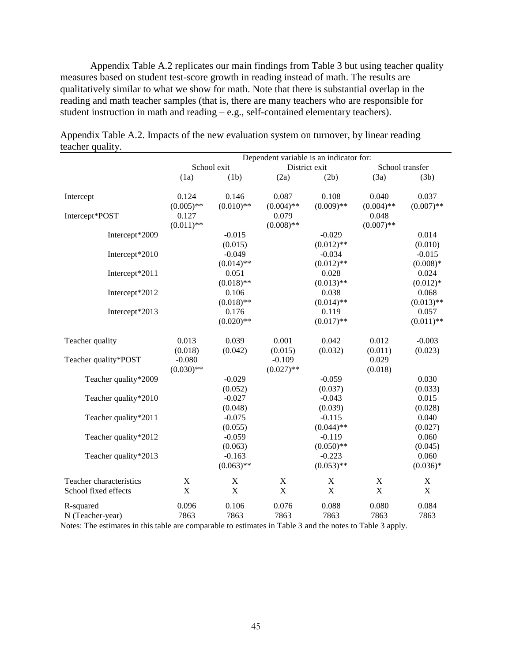Appendix Table A.2 replicates our main findings from Table 3 but using teacher quality measures based on student test-score growth in reading instead of math. The results are qualitatively similar to what we show for math. Note that there is substantial overlap in the reading and math teacher samples (that is, there are many teachers who are responsible for student instruction in math and reading – e.g., self-contained elementary teachers).

|                         | Dependent variable is an indicator for: |              |              |                                  |                           |              |
|-------------------------|-----------------------------------------|--------------|--------------|----------------------------------|---------------------------|--------------|
|                         |                                         | School exit  |              | District exit<br>School transfer |                           |              |
|                         | (1a)                                    | (1b)         | (2a)         | (2b)                             | (3a)                      | (3b)         |
| Intercept               | 0.124                                   | 0.146        | 0.087        | 0.108                            | 0.040                     | 0.037        |
|                         | $(0.005)$ **                            | $(0.010)$ ** | $(0.004)$ ** | $(0.009)$ **                     | $(0.004)$ **              | $(0.007)$ ** |
| Intercept*POST          | 0.127                                   |              | 0.079        |                                  | 0.048                     |              |
|                         | $(0.011)$ **                            |              | $(0.008)$ ** |                                  | $(0.007)$ **              |              |
| Intercept*2009          |                                         | $-0.015$     |              | $-0.029$                         |                           | 0.014        |
|                         |                                         | (0.015)      |              | $(0.012)$ **                     |                           | (0.010)      |
| Intercept*2010          |                                         | $-0.049$     |              | $-0.034$                         |                           | $-0.015$     |
|                         |                                         | $(0.014)$ ** |              | $(0.012)$ **                     |                           | $(0.008)*$   |
| Intercept*2011          |                                         | 0.051        |              | 0.028                            |                           | 0.024        |
|                         |                                         | $(0.018)$ ** |              | $(0.013)$ **                     |                           | $(0.012)*$   |
| Intercept*2012          |                                         | 0.106        |              | 0.038                            |                           | 0.068        |
|                         |                                         | $(0.018)$ ** |              | $(0.014)$ **                     |                           | $(0.013)$ ** |
| Intercept*2013          |                                         | 0.176        |              | 0.119                            |                           | 0.057        |
|                         |                                         | $(0.020)$ ** |              | $(0.017)$ **                     |                           | $(0.011)$ ** |
| Teacher quality         | 0.013                                   | 0.039        | 0.001        | 0.042                            | 0.012                     | $-0.003$     |
|                         | (0.018)                                 | (0.042)      | (0.015)      | (0.032)                          | (0.011)                   | (0.023)      |
| Teacher quality*POST    | $-0.080$                                |              | $-0.109$     |                                  | 0.029                     |              |
|                         | $(0.030)$ **                            |              | $(0.027)$ ** |                                  | (0.018)                   |              |
| Teacher quality*2009    |                                         | $-0.029$     |              | $-0.059$                         |                           | 0.030        |
|                         |                                         | (0.052)      |              | (0.037)                          |                           | (0.033)      |
| Teacher quality*2010    |                                         | $-0.027$     |              | $-0.043$                         |                           | 0.015        |
|                         |                                         | (0.048)      |              | (0.039)                          |                           | (0.028)      |
| Teacher quality*2011    |                                         | $-0.075$     |              | $-0.115$                         |                           | 0.040        |
|                         |                                         | (0.055)      |              | $(0.044)$ **                     |                           | (0.027)      |
| Teacher quality*2012    |                                         | $-0.059$     |              | $-0.119$                         |                           | 0.060        |
|                         |                                         | (0.063)      |              | $(0.050)$ **                     |                           | (0.045)      |
| Teacher quality*2013    |                                         | $-0.163$     |              | $-0.223$                         |                           | 0.060        |
|                         |                                         | $(0.063)$ ** |              | $(0.053)$ **                     |                           | $(0.036)*$   |
| Teacher characteristics | $\mathbf X$                             | $\mathbf X$  | $\mathbf X$  | $\mathbf X$                      | $\boldsymbol{\mathrm{X}}$ | $\mathbf X$  |
| School fixed effects    | $\mathbf X$                             | $\mathbf X$  | $\mathbf X$  | $\mathbf X$                      | $\mathbf X$               | $\mathbf X$  |
| R-squared               | 0.096                                   | 0.106        | 0.076        | 0.088                            | 0.080                     | 0.084        |
| N (Teacher-year)        | 7863                                    | 7863         | 7863         | 7863                             | 7863                      | 7863         |

Appendix Table A.2. Impacts of the new evaluation system on turnover, by linear reading teacher quality.

Notes: The estimates in this table are comparable to estimates in Table 3 and the notes to Table 3 apply.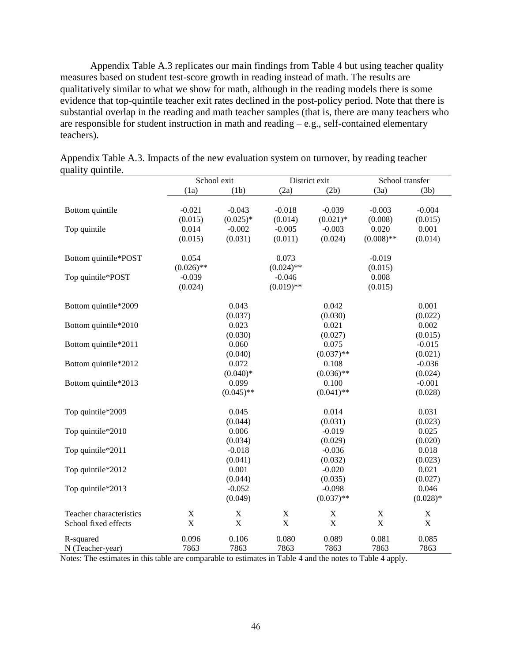Appendix Table A.3 replicates our main findings from Table 4 but using teacher quality measures based on student test-score growth in reading instead of math. The results are qualitatively similar to what we show for math, although in the reading models there is some evidence that top-quintile teacher exit rates declined in the post-policy period. Note that there is substantial overlap in the reading and math teacher samples (that is, there are many teachers who are responsible for student instruction in math and reading – e.g., self-contained elementary teachers).

|                         |              | School exit  |                | District exit | School transfer |             |
|-------------------------|--------------|--------------|----------------|---------------|-----------------|-------------|
|                         | (1a)         | (1b)         | (2a)           | (2b)          | (3a)            | (3b)        |
|                         |              |              |                |               |                 |             |
| Bottom quintile         | $-0.021$     | $-0.043$     | $-0.018$       | $-0.039$      | $-0.003$        | $-0.004$    |
|                         | (0.015)      | $(0.025)*$   | (0.014)        | $(0.021)*$    | (0.008)         | (0.015)     |
| Top quintile            | 0.014        | $-0.002$     | $-0.005$       | $-0.003$      | 0.020           | 0.001       |
|                         | (0.015)      | (0.031)      | (0.011)        | (0.024)       | $(0.008)$ **    | (0.014)     |
| Bottom quintile*POST    | 0.054        |              | 0.073          |               | $-0.019$        |             |
|                         | $(0.026)$ ** |              | $(0.024)$ **   |               | (0.015)         |             |
| Top quintile*POST       | $-0.039$     |              | $-0.046$       |               | 0.008           |             |
|                         | (0.024)      |              | $(0.019)$ **   |               | (0.015)         |             |
| Bottom quintile*2009    |              | 0.043        |                | 0.042         |                 | 0.001       |
|                         |              | (0.037)      |                | (0.030)       |                 | (0.022)     |
| Bottom quintile*2010    |              | 0.023        |                | 0.021         |                 | 0.002       |
|                         |              | (0.030)      |                | (0.027)       |                 | (0.015)     |
| Bottom quintile*2011    |              | 0.060        |                | 0.075         |                 | $-0.015$    |
|                         |              | (0.040)      |                | $(0.037)$ **  |                 | (0.021)     |
| Bottom quintile*2012    |              | 0.072        |                | 0.108         |                 | $-0.036$    |
|                         |              | $(0.040)*$   |                | $(0.036)$ **  |                 | (0.024)     |
| Bottom quintile*2013    |              | 0.099        |                | 0.100         |                 | $-0.001$    |
|                         |              | $(0.045)$ ** |                | $(0.041)$ **  |                 | (0.028)     |
| Top quintile*2009       |              | 0.045        |                | 0.014         |                 | 0.031       |
|                         |              | (0.044)      |                | (0.031)       |                 | (0.023)     |
| Top quintile*2010       |              | 0.006        |                | $-0.019$      |                 | 0.025       |
|                         |              | (0.034)      |                | (0.029)       |                 | (0.020)     |
| Top quintile*2011       |              | $-0.018$     |                | $-0.036$      |                 | 0.018       |
|                         |              | (0.041)      |                | (0.032)       |                 | (0.023)     |
| Top quintile*2012       |              | 0.001        |                | $-0.020$      |                 | 0.021       |
|                         |              | (0.044)      |                | (0.035)       |                 | (0.027)     |
| Top quintile*2013       |              | $-0.052$     |                | $-0.098$      |                 | 0.046       |
|                         |              | (0.049)      |                | $(0.037)$ **  |                 | $(0.028)*$  |
| Teacher characteristics | $\mathbf X$  | $\mathbf X$  | $\mathbf X$    | $\mathbf X$   | $\mathbf X$     | X           |
| School fixed effects    | $\mathbf X$  | $\mathbf X$  | $\overline{X}$ | X             | $\mathbf X$     | $\mathbf X$ |
| R-squared               | 0.096        | 0.106        | 0.080          | 0.089         | 0.081           | 0.085       |
| N (Teacher-year)        | 7863         | 7863         | 7863           | 7863          | 7863            | 7863        |

Appendix Table A.3. Impacts of the new evaluation system on turnover, by reading teacher quality quintile.

Notes: The estimates in this table are comparable to estimates in Table 4 and the notes to Table 4 apply.